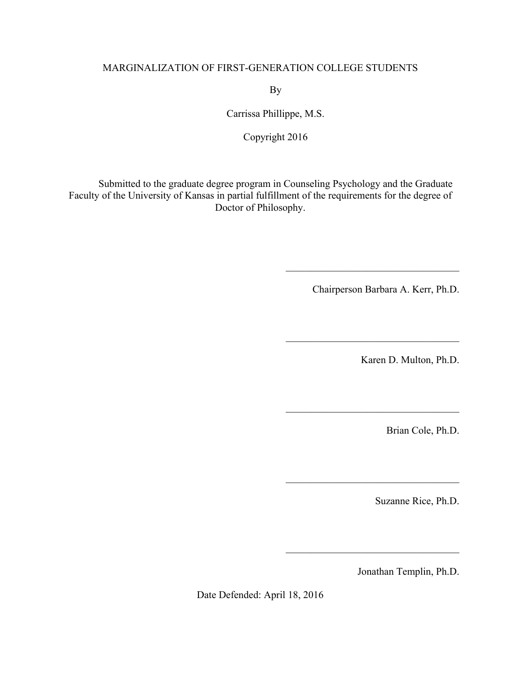## MARGINALIZATION OF FIRST-GENERATION COLLEGE STUDENTS

By

Carrissa Phillippe, M.S.

Copyright 2016

Submitted to the graduate degree program in Counseling Psychology and the Graduate Faculty of the University of Kansas in partial fulfillment of the requirements for the degree of Doctor of Philosophy.

Chairperson Barbara A. Kerr, Ph.D.

 $\mathcal{L}_\text{max}$  , where  $\mathcal{L}_\text{max}$  and  $\mathcal{L}_\text{max}$  and  $\mathcal{L}_\text{max}$ 

 $\mathcal{L}_\text{max}$  , where  $\mathcal{L}_\text{max}$  and  $\mathcal{L}_\text{max}$  and  $\mathcal{L}_\text{max}$ 

 $\mathcal{L}_\text{max}$  , where  $\mathcal{L}_\text{max}$  and  $\mathcal{L}_\text{max}$  and  $\mathcal{L}_\text{max}$ 

 $\mathcal{L}_\text{max}$ 

 $\mathcal{L}_\text{max}$  , where  $\mathcal{L}_\text{max}$  and  $\mathcal{L}_\text{max}$  and  $\mathcal{L}_\text{max}$ 

Karen D. Multon, Ph.D.

Brian Cole, Ph.D.

Suzanne Rice, Ph.D.

Jonathan Templin, Ph.D.

Date Defended: April 18, 2016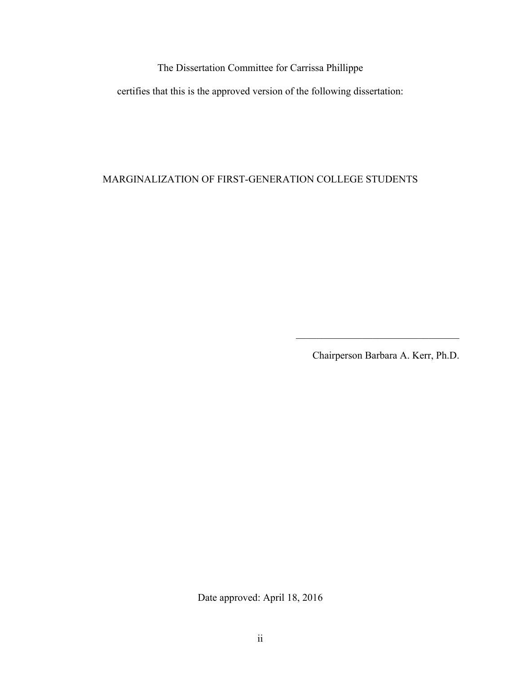The Dissertation Committee for Carrissa Phillippe

certifies that this is the approved version of the following dissertation:

MARGINALIZATION OF FIRST-GENERATION COLLEGE STUDENTS

Chairperson Barbara A. Kerr, Ph.D.

 $\mathcal{L}_\text{max}$  , and the set of the set of the set of the set of the set of the set of the set of the set of the set of the set of the set of the set of the set of the set of the set of the set of the set of the set of the

Date approved: April 18, 2016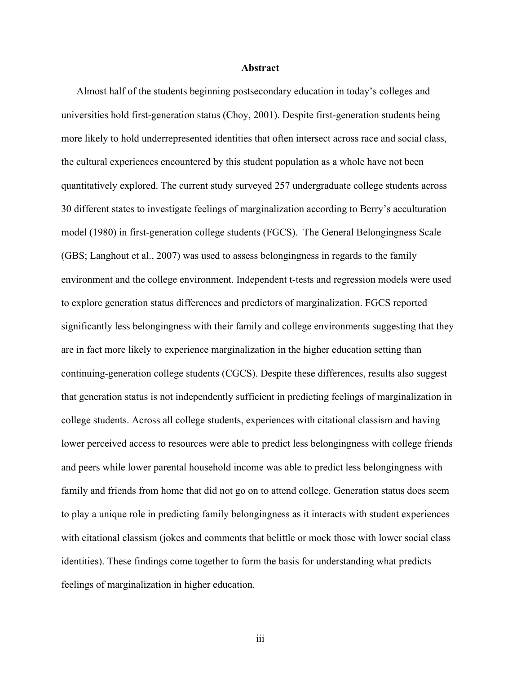#### **Abstract**

Almost half of the students beginning postsecondary education in today's colleges and universities hold first-generation status (Choy, 2001). Despite first-generation students being more likely to hold underrepresented identities that often intersect across race and social class, the cultural experiences encountered by this student population as a whole have not been quantitatively explored. The current study surveyed 257 undergraduate college students across 30 different states to investigate feelings of marginalization according to Berry's acculturation model (1980) in first-generation college students (FGCS). The General Belongingness Scale (GBS; Langhout et al., 2007) was used to assess belongingness in regards to the family environment and the college environment. Independent t-tests and regression models were used to explore generation status differences and predictors of marginalization. FGCS reported significantly less belongingness with their family and college environments suggesting that they are in fact more likely to experience marginalization in the higher education setting than continuing-generation college students (CGCS). Despite these differences, results also suggest that generation status is not independently sufficient in predicting feelings of marginalization in college students. Across all college students, experiences with citational classism and having lower perceived access to resources were able to predict less belongingness with college friends and peers while lower parental household income was able to predict less belongingness with family and friends from home that did not go on to attend college. Generation status does seem to play a unique role in predicting family belongingness as it interacts with student experiences with citational classism (jokes and comments that belittle or mock those with lower social class identities). These findings come together to form the basis for understanding what predicts feelings of marginalization in higher education.

iii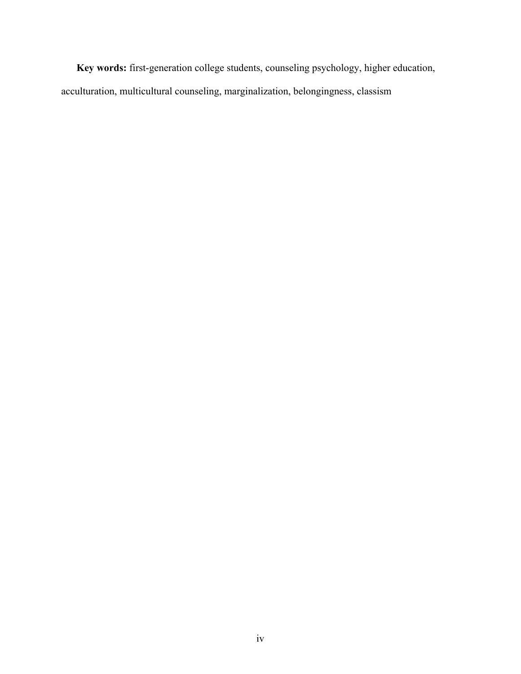**Key words:** first-generation college students, counseling psychology, higher education, acculturation, multicultural counseling, marginalization, belongingness, classism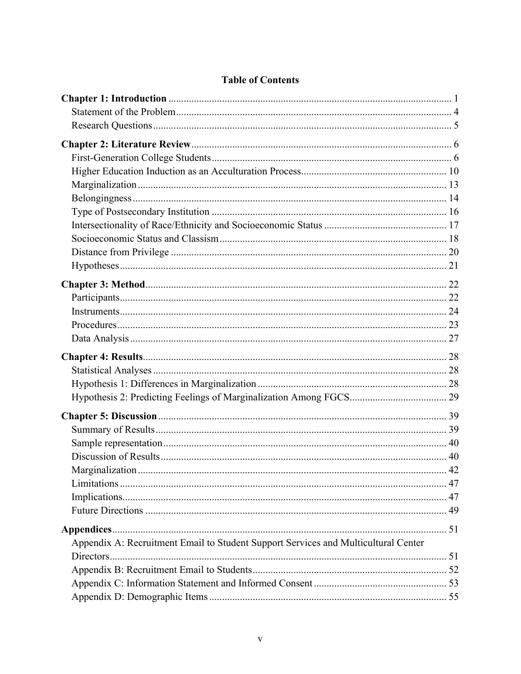| Appendix A: Recruitment Email to Student Support Services and Multicultural Center |  |
|------------------------------------------------------------------------------------|--|
|                                                                                    |  |
|                                                                                    |  |
|                                                                                    |  |
|                                                                                    |  |

# **Table of Contents**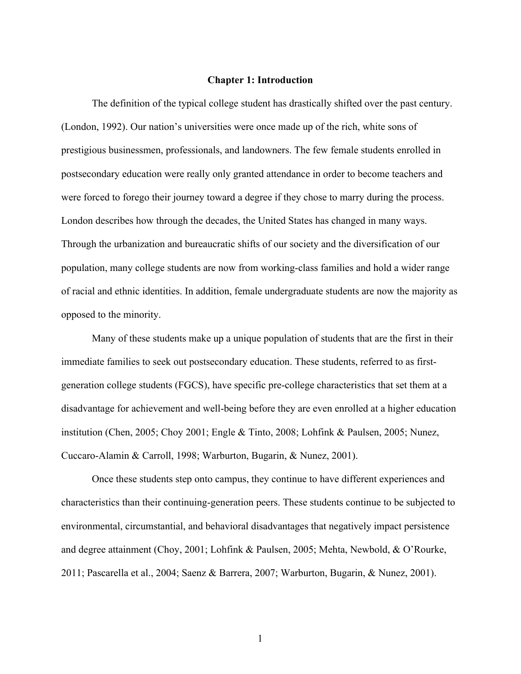## **Chapter 1: Introduction**

The definition of the typical college student has drastically shifted over the past century. (London, 1992). Our nation's universities were once made up of the rich, white sons of prestigious businessmen, professionals, and landowners. The few female students enrolled in postsecondary education were really only granted attendance in order to become teachers and were forced to forego their journey toward a degree if they chose to marry during the process. London describes how through the decades, the United States has changed in many ways. Through the urbanization and bureaucratic shifts of our society and the diversification of our population, many college students are now from working-class families and hold a wider range of racial and ethnic identities. In addition, female undergraduate students are now the majority as opposed to the minority.

Many of these students make up a unique population of students that are the first in their immediate families to seek out postsecondary education. These students, referred to as firstgeneration college students (FGCS), have specific pre-college characteristics that set them at a disadvantage for achievement and well-being before they are even enrolled at a higher education institution (Chen, 2005; Choy 2001; Engle & Tinto, 2008; Lohfink & Paulsen, 2005; Nunez, Cuccaro-Alamin & Carroll, 1998; Warburton, Bugarin, & Nunez, 2001).

Once these students step onto campus, they continue to have different experiences and characteristics than their continuing-generation peers. These students continue to be subjected to environmental, circumstantial, and behavioral disadvantages that negatively impact persistence and degree attainment (Choy, 2001; Lohfink & Paulsen, 2005; Mehta, Newbold, & O'Rourke, 2011; Pascarella et al., 2004; Saenz & Barrera, 2007; Warburton, Bugarin, & Nunez, 2001).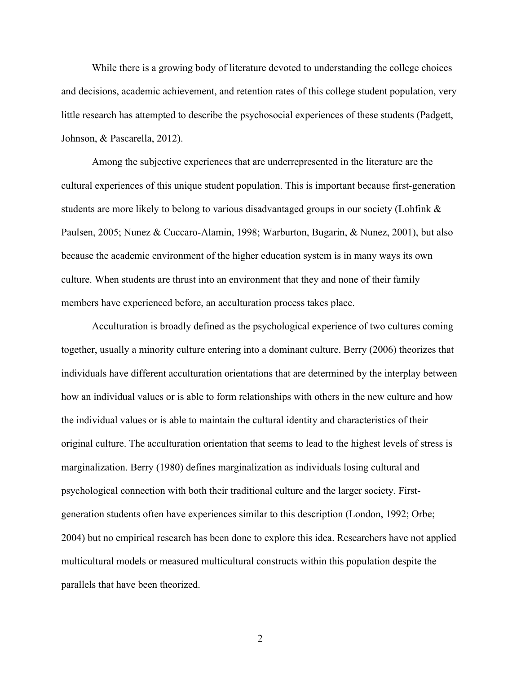While there is a growing body of literature devoted to understanding the college choices and decisions, academic achievement, and retention rates of this college student population, very little research has attempted to describe the psychosocial experiences of these students (Padgett, Johnson, & Pascarella, 2012).

Among the subjective experiences that are underrepresented in the literature are the cultural experiences of this unique student population. This is important because first-generation students are more likely to belong to various disadvantaged groups in our society (Lohfink & Paulsen, 2005; Nunez & Cuccaro-Alamin, 1998; Warburton, Bugarin, & Nunez, 2001), but also because the academic environment of the higher education system is in many ways its own culture. When students are thrust into an environment that they and none of their family members have experienced before, an acculturation process takes place.

Acculturation is broadly defined as the psychological experience of two cultures coming together, usually a minority culture entering into a dominant culture. Berry (2006) theorizes that individuals have different acculturation orientations that are determined by the interplay between how an individual values or is able to form relationships with others in the new culture and how the individual values or is able to maintain the cultural identity and characteristics of their original culture. The acculturation orientation that seems to lead to the highest levels of stress is marginalization. Berry (1980) defines marginalization as individuals losing cultural and psychological connection with both their traditional culture and the larger society. Firstgeneration students often have experiences similar to this description (London, 1992; Orbe; 2004) but no empirical research has been done to explore this idea. Researchers have not applied multicultural models or measured multicultural constructs within this population despite the parallels that have been theorized.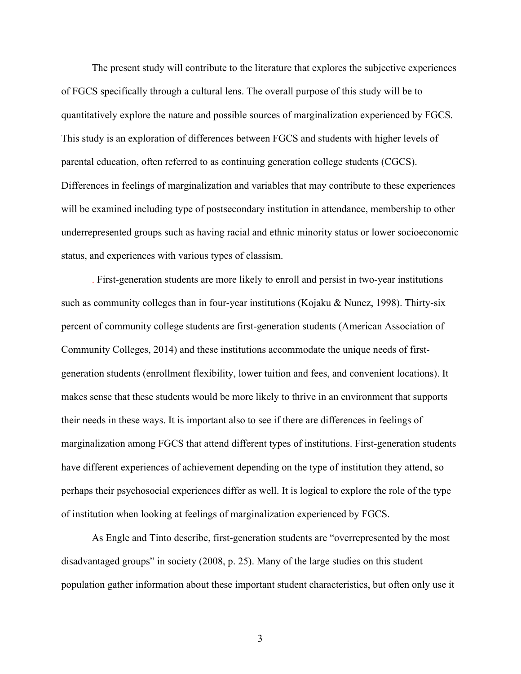The present study will contribute to the literature that explores the subjective experiences of FGCS specifically through a cultural lens. The overall purpose of this study will be to quantitatively explore the nature and possible sources of marginalization experienced by FGCS. This study is an exploration of differences between FGCS and students with higher levels of parental education, often referred to as continuing generation college students (CGCS). Differences in feelings of marginalization and variables that may contribute to these experiences will be examined including type of postsecondary institution in attendance, membership to other underrepresented groups such as having racial and ethnic minority status or lower socioeconomic status, and experiences with various types of classism.

. First-generation students are more likely to enroll and persist in two-year institutions such as community colleges than in four-year institutions (Kojaku & Nunez, 1998). Thirty-six percent of community college students are first-generation students (American Association of Community Colleges, 2014) and these institutions accommodate the unique needs of firstgeneration students (enrollment flexibility, lower tuition and fees, and convenient locations). It makes sense that these students would be more likely to thrive in an environment that supports their needs in these ways. It is important also to see if there are differences in feelings of marginalization among FGCS that attend different types of institutions. First-generation students have different experiences of achievement depending on the type of institution they attend, so perhaps their psychosocial experiences differ as well. It is logical to explore the role of the type of institution when looking at feelings of marginalization experienced by FGCS.

As Engle and Tinto describe, first-generation students are "overrepresented by the most disadvantaged groups" in society (2008, p. 25). Many of the large studies on this student population gather information about these important student characteristics, but often only use it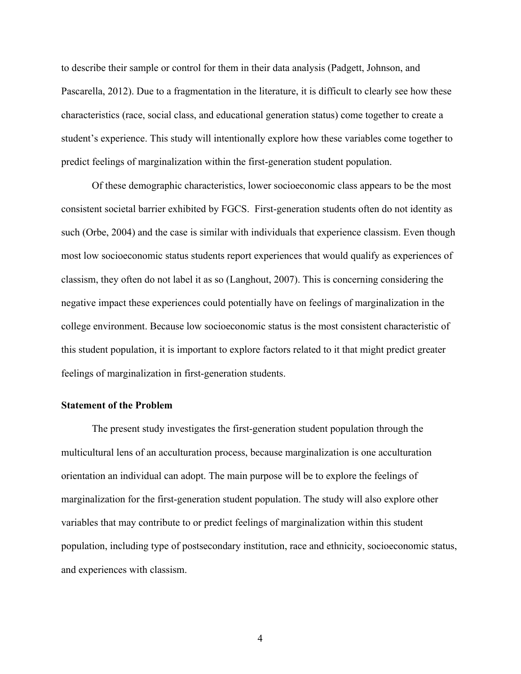to describe their sample or control for them in their data analysis (Padgett, Johnson, and Pascarella, 2012). Due to a fragmentation in the literature, it is difficult to clearly see how these characteristics (race, social class, and educational generation status) come together to create a student's experience. This study will intentionally explore how these variables come together to predict feelings of marginalization within the first-generation student population.

Of these demographic characteristics, lower socioeconomic class appears to be the most consistent societal barrier exhibited by FGCS. First-generation students often do not identity as such (Orbe, 2004) and the case is similar with individuals that experience classism. Even though most low socioeconomic status students report experiences that would qualify as experiences of classism, they often do not label it as so (Langhout, 2007). This is concerning considering the negative impact these experiences could potentially have on feelings of marginalization in the college environment. Because low socioeconomic status is the most consistent characteristic of this student population, it is important to explore factors related to it that might predict greater feelings of marginalization in first-generation students.

## **Statement of the Problem**

The present study investigates the first-generation student population through the multicultural lens of an acculturation process, because marginalization is one acculturation orientation an individual can adopt. The main purpose will be to explore the feelings of marginalization for the first-generation student population. The study will also explore other variables that may contribute to or predict feelings of marginalization within this student population, including type of postsecondary institution, race and ethnicity, socioeconomic status, and experiences with classism.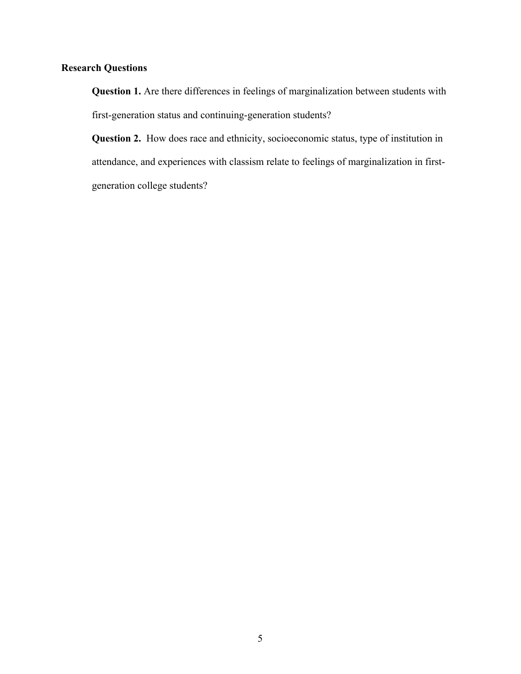## **Research Questions**

**Question 1.** Are there differences in feelings of marginalization between students with first-generation status and continuing-generation students?

**Question 2.** How does race and ethnicity, socioeconomic status, type of institution in attendance, and experiences with classism relate to feelings of marginalization in firstgeneration college students?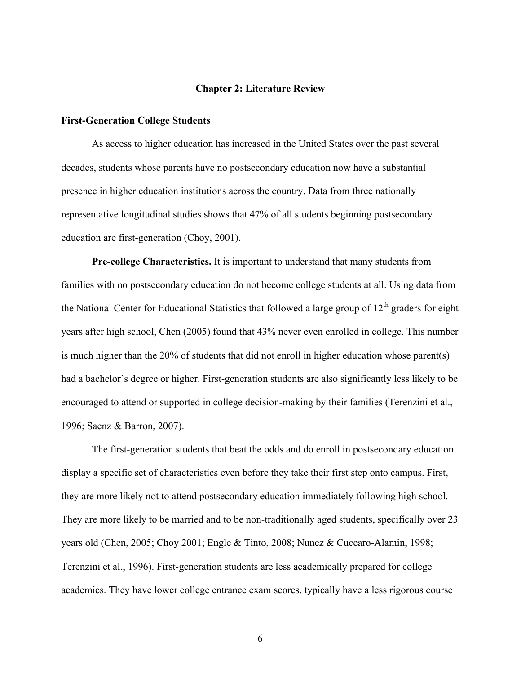#### **Chapter 2: Literature Review**

#### **First-Generation College Students**

As access to higher education has increased in the United States over the past several decades, students whose parents have no postsecondary education now have a substantial presence in higher education institutions across the country. Data from three nationally representative longitudinal studies shows that 47% of all students beginning postsecondary education are first-generation (Choy, 2001).

**Pre-college Characteristics.** It is important to understand that many students from families with no postsecondary education do not become college students at all. Using data from the National Center for Educational Statistics that followed a large group of  $12<sup>th</sup>$  graders for eight years after high school, Chen (2005) found that 43% never even enrolled in college. This number is much higher than the 20% of students that did not enroll in higher education whose parent(s) had a bachelor's degree or higher. First-generation students are also significantly less likely to be encouraged to attend or supported in college decision-making by their families (Terenzini et al., 1996; Saenz & Barron, 2007).

The first-generation students that beat the odds and do enroll in postsecondary education display a specific set of characteristics even before they take their first step onto campus. First, they are more likely not to attend postsecondary education immediately following high school. They are more likely to be married and to be non-traditionally aged students, specifically over 23 years old (Chen, 2005; Choy 2001; Engle & Tinto, 2008; Nunez & Cuccaro-Alamin, 1998; Terenzini et al., 1996). First-generation students are less academically prepared for college academics. They have lower college entrance exam scores, typically have a less rigorous course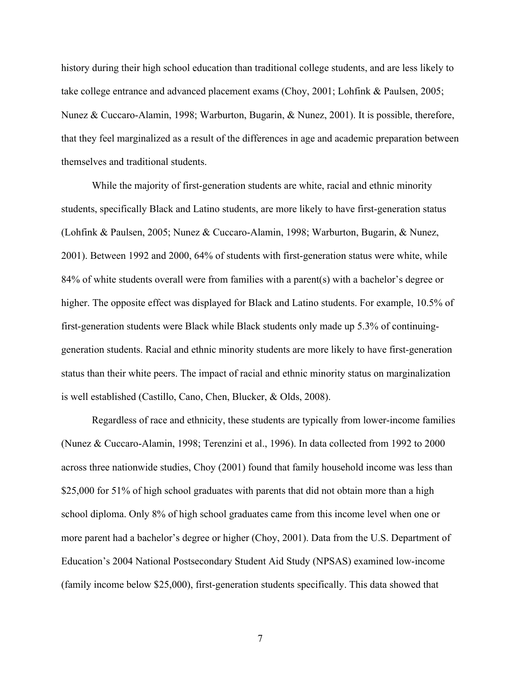history during their high school education than traditional college students, and are less likely to take college entrance and advanced placement exams (Choy, 2001; Lohfink & Paulsen, 2005; Nunez & Cuccaro-Alamin, 1998; Warburton, Bugarin, & Nunez, 2001). It is possible, therefore, that they feel marginalized as a result of the differences in age and academic preparation between themselves and traditional students.

While the majority of first-generation students are white, racial and ethnic minority students, specifically Black and Latino students, are more likely to have first-generation status (Lohfink & Paulsen, 2005; Nunez & Cuccaro-Alamin, 1998; Warburton, Bugarin, & Nunez, 2001). Between 1992 and 2000, 64% of students with first-generation status were white, while 84% of white students overall were from families with a parent(s) with a bachelor's degree or higher. The opposite effect was displayed for Black and Latino students. For example, 10.5% of first-generation students were Black while Black students only made up 5.3% of continuinggeneration students. Racial and ethnic minority students are more likely to have first-generation status than their white peers. The impact of racial and ethnic minority status on marginalization is well established (Castillo, Cano, Chen, Blucker, & Olds, 2008).

Regardless of race and ethnicity, these students are typically from lower-income families (Nunez & Cuccaro-Alamin, 1998; Terenzini et al., 1996). In data collected from 1992 to 2000 across three nationwide studies, Choy (2001) found that family household income was less than \$25,000 for 51% of high school graduates with parents that did not obtain more than a high school diploma. Only 8% of high school graduates came from this income level when one or more parent had a bachelor's degree or higher (Choy, 2001). Data from the U.S. Department of Education's 2004 National Postsecondary Student Aid Study (NPSAS) examined low-income (family income below \$25,000), first-generation students specifically. This data showed that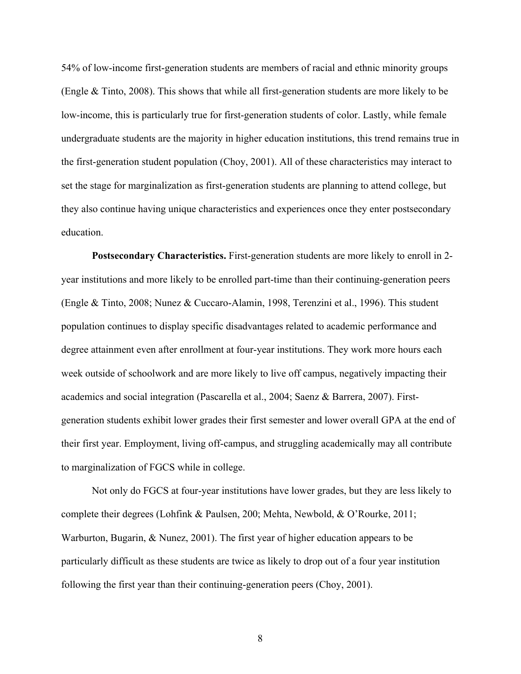54% of low-income first-generation students are members of racial and ethnic minority groups (Engle & Tinto, 2008). This shows that while all first-generation students are more likely to be low-income, this is particularly true for first-generation students of color. Lastly, while female undergraduate students are the majority in higher education institutions, this trend remains true in the first-generation student population (Choy, 2001). All of these characteristics may interact to set the stage for marginalization as first-generation students are planning to attend college, but they also continue having unique characteristics and experiences once they enter postsecondary education.

**Postsecondary Characteristics.** First-generation students are more likely to enroll in 2 year institutions and more likely to be enrolled part-time than their continuing-generation peers (Engle & Tinto, 2008; Nunez & Cuccaro-Alamin, 1998, Terenzini et al., 1996). This student population continues to display specific disadvantages related to academic performance and degree attainment even after enrollment at four-year institutions. They work more hours each week outside of schoolwork and are more likely to live off campus, negatively impacting their academics and social integration (Pascarella et al., 2004; Saenz & Barrera, 2007). Firstgeneration students exhibit lower grades their first semester and lower overall GPA at the end of their first year. Employment, living off-campus, and struggling academically may all contribute to marginalization of FGCS while in college.

Not only do FGCS at four-year institutions have lower grades, but they are less likely to complete their degrees (Lohfink & Paulsen, 200; Mehta, Newbold, & O'Rourke, 2011; Warburton, Bugarin, & Nunez, 2001). The first year of higher education appears to be particularly difficult as these students are twice as likely to drop out of a four year institution following the first year than their continuing-generation peers (Choy, 2001).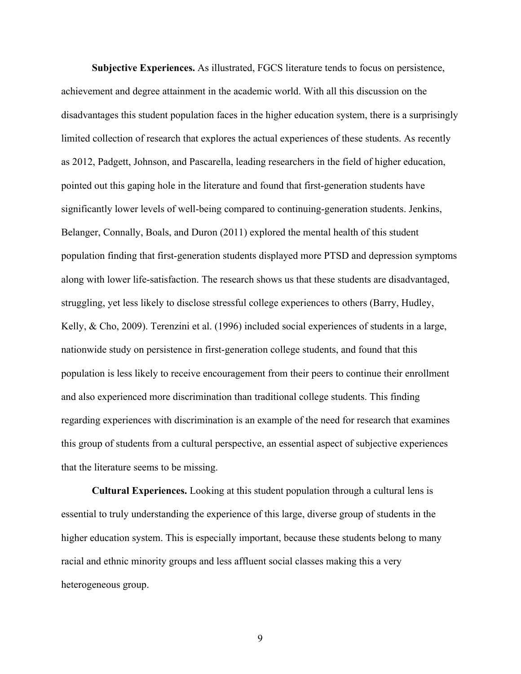**Subjective Experiences.** As illustrated, FGCS literature tends to focus on persistence, achievement and degree attainment in the academic world. With all this discussion on the disadvantages this student population faces in the higher education system, there is a surprisingly limited collection of research that explores the actual experiences of these students. As recently as 2012, Padgett, Johnson, and Pascarella, leading researchers in the field of higher education, pointed out this gaping hole in the literature and found that first-generation students have significantly lower levels of well-being compared to continuing-generation students. Jenkins, Belanger, Connally, Boals, and Duron (2011) explored the mental health of this student population finding that first-generation students displayed more PTSD and depression symptoms along with lower life-satisfaction. The research shows us that these students are disadvantaged, struggling, yet less likely to disclose stressful college experiences to others (Barry, Hudley, Kelly, & Cho, 2009). Terenzini et al. (1996) included social experiences of students in a large, nationwide study on persistence in first-generation college students, and found that this population is less likely to receive encouragement from their peers to continue their enrollment and also experienced more discrimination than traditional college students. This finding regarding experiences with discrimination is an example of the need for research that examines this group of students from a cultural perspective, an essential aspect of subjective experiences that the literature seems to be missing.

**Cultural Experiences.** Looking at this student population through a cultural lens is essential to truly understanding the experience of this large, diverse group of students in the higher education system. This is especially important, because these students belong to many racial and ethnic minority groups and less affluent social classes making this a very heterogeneous group.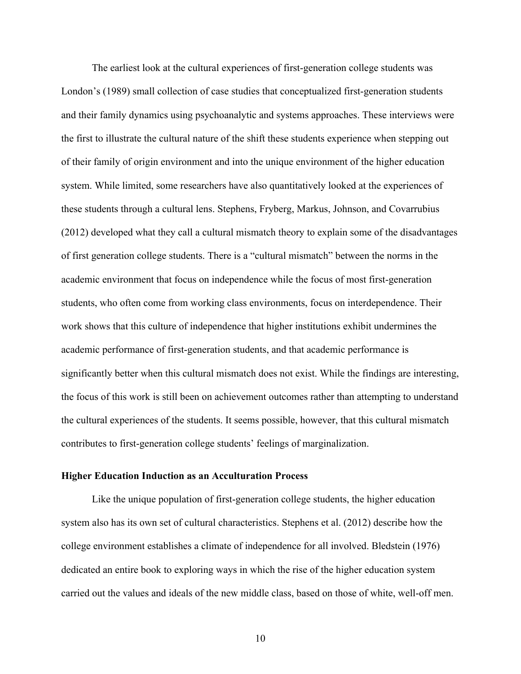The earliest look at the cultural experiences of first-generation college students was London's (1989) small collection of case studies that conceptualized first-generation students and their family dynamics using psychoanalytic and systems approaches. These interviews were the first to illustrate the cultural nature of the shift these students experience when stepping out of their family of origin environment and into the unique environment of the higher education system. While limited, some researchers have also quantitatively looked at the experiences of these students through a cultural lens. Stephens, Fryberg, Markus, Johnson, and Covarrubius (2012) developed what they call a cultural mismatch theory to explain some of the disadvantages of first generation college students. There is a "cultural mismatch" between the norms in the academic environment that focus on independence while the focus of most first-generation students, who often come from working class environments, focus on interdependence. Their work shows that this culture of independence that higher institutions exhibit undermines the academic performance of first-generation students, and that academic performance is significantly better when this cultural mismatch does not exist. While the findings are interesting, the focus of this work is still been on achievement outcomes rather than attempting to understand the cultural experiences of the students. It seems possible, however, that this cultural mismatch contributes to first-generation college students' feelings of marginalization.

#### **Higher Education Induction as an Acculturation Process**

Like the unique population of first-generation college students, the higher education system also has its own set of cultural characteristics. Stephens et al. (2012) describe how the college environment establishes a climate of independence for all involved. Bledstein (1976) dedicated an entire book to exploring ways in which the rise of the higher education system carried out the values and ideals of the new middle class, based on those of white, well-off men.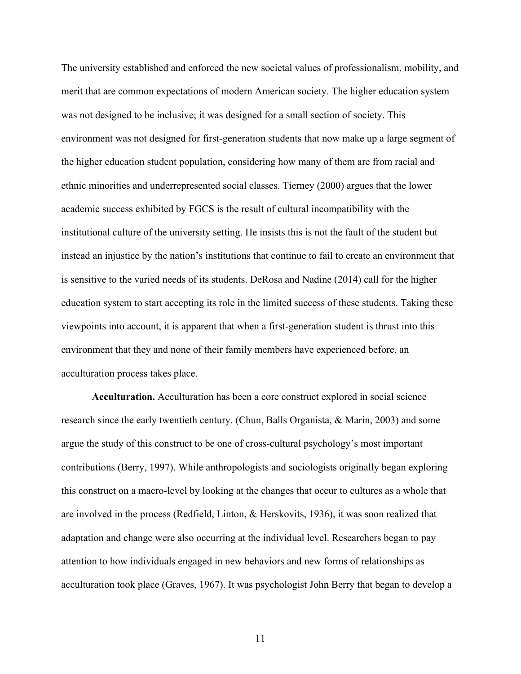The university established and enforced the new societal values of professionalism, mobility, and merit that are common expectations of modern American society. The higher education system was not designed to be inclusive; it was designed for a small section of society. This environment was not designed for first-generation students that now make up a large segment of the higher education student population, considering how many of them are from racial and ethnic minorities and underrepresented social classes. Tierney (2000) argues that the lower academic success exhibited by FGCS is the result of cultural incompatibility with the institutional culture of the university setting. He insists this is not the fault of the student but instead an injustice by the nation's institutions that continue to fail to create an environment that is sensitive to the varied needs of its students. DeRosa and Nadine (2014) call for the higher education system to start accepting its role in the limited success of these students. Taking these viewpoints into account, it is apparent that when a first-generation student is thrust into this environment that they and none of their family members have experienced before, an acculturation process takes place.

**Acculturation.** Acculturation has been a core construct explored in social science research since the early twentieth century. (Chun, Balls Organista, & Marin, 2003) and some argue the study of this construct to be one of cross-cultural psychology's most important contributions (Berry, 1997). While anthropologists and sociologists originally began exploring this construct on a macro-level by looking at the changes that occur to cultures as a whole that are involved in the process (Redfield, Linton, & Herskovits, 1936), it was soon realized that adaptation and change were also occurring at the individual level. Researchers began to pay attention to how individuals engaged in new behaviors and new forms of relationships as acculturation took place (Graves, 1967). It was psychologist John Berry that began to develop a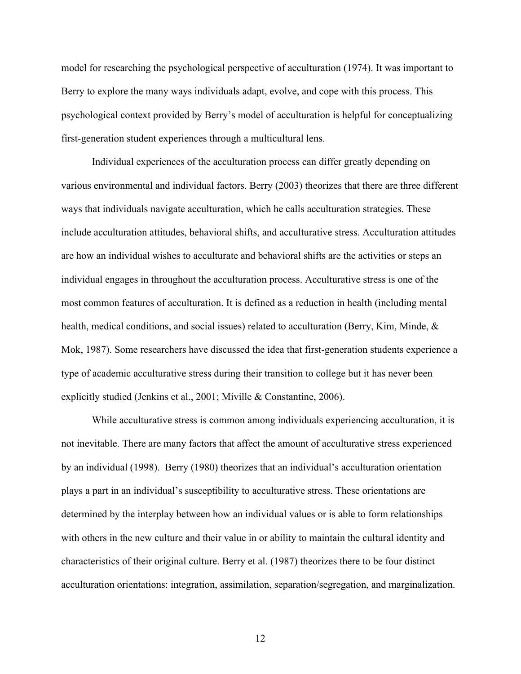model for researching the psychological perspective of acculturation (1974). It was important to Berry to explore the many ways individuals adapt, evolve, and cope with this process. This psychological context provided by Berry's model of acculturation is helpful for conceptualizing first-generation student experiences through a multicultural lens.

Individual experiences of the acculturation process can differ greatly depending on various environmental and individual factors. Berry (2003) theorizes that there are three different ways that individuals navigate acculturation, which he calls acculturation strategies. These include acculturation attitudes, behavioral shifts, and acculturative stress. Acculturation attitudes are how an individual wishes to acculturate and behavioral shifts are the activities or steps an individual engages in throughout the acculturation process. Acculturative stress is one of the most common features of acculturation. It is defined as a reduction in health (including mental health, medical conditions, and social issues) related to acculturation (Berry, Kim, Minde, & Mok, 1987). Some researchers have discussed the idea that first-generation students experience a type of academic acculturative stress during their transition to college but it has never been explicitly studied (Jenkins et al., 2001; Miville & Constantine, 2006).

While acculturative stress is common among individuals experiencing acculturation, it is not inevitable. There are many factors that affect the amount of acculturative stress experienced by an individual (1998). Berry (1980) theorizes that an individual's acculturation orientation plays a part in an individual's susceptibility to acculturative stress. These orientations are determined by the interplay between how an individual values or is able to form relationships with others in the new culture and their value in or ability to maintain the cultural identity and characteristics of their original culture. Berry et al. (1987) theorizes there to be four distinct acculturation orientations: integration, assimilation, separation/segregation, and marginalization.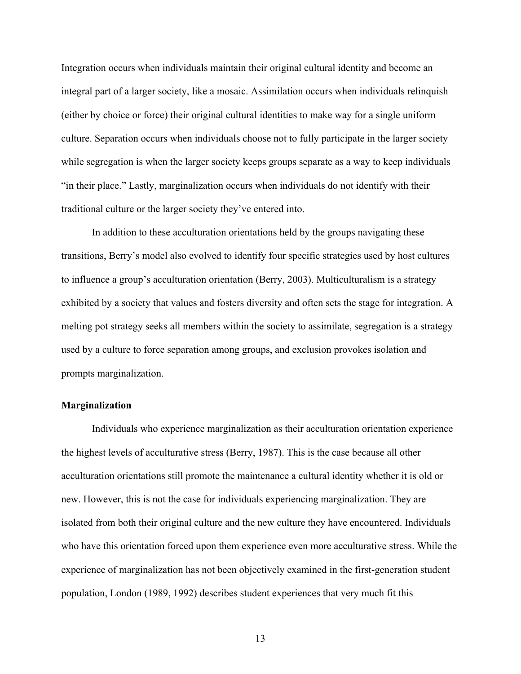Integration occurs when individuals maintain their original cultural identity and become an integral part of a larger society, like a mosaic. Assimilation occurs when individuals relinquish (either by choice or force) their original cultural identities to make way for a single uniform culture. Separation occurs when individuals choose not to fully participate in the larger society while segregation is when the larger society keeps groups separate as a way to keep individuals "in their place." Lastly, marginalization occurs when individuals do not identify with their traditional culture or the larger society they've entered into.

In addition to these acculturation orientations held by the groups navigating these transitions, Berry's model also evolved to identify four specific strategies used by host cultures to influence a group's acculturation orientation (Berry, 2003). Multiculturalism is a strategy exhibited by a society that values and fosters diversity and often sets the stage for integration. A melting pot strategy seeks all members within the society to assimilate, segregation is a strategy used by a culture to force separation among groups, and exclusion provokes isolation and prompts marginalization.

## **Marginalization**

Individuals who experience marginalization as their acculturation orientation experience the highest levels of acculturative stress (Berry, 1987). This is the case because all other acculturation orientations still promote the maintenance a cultural identity whether it is old or new. However, this is not the case for individuals experiencing marginalization. They are isolated from both their original culture and the new culture they have encountered. Individuals who have this orientation forced upon them experience even more acculturative stress. While the experience of marginalization has not been objectively examined in the first-generation student population, London (1989, 1992) describes student experiences that very much fit this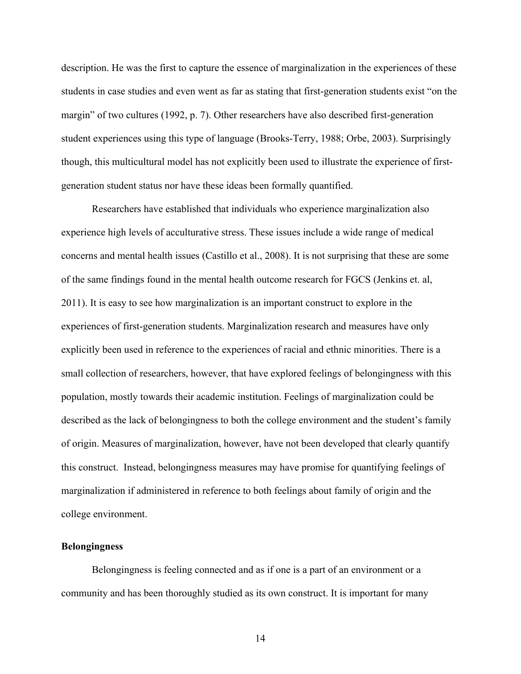description. He was the first to capture the essence of marginalization in the experiences of these students in case studies and even went as far as stating that first-generation students exist "on the margin" of two cultures (1992, p. 7). Other researchers have also described first-generation student experiences using this type of language (Brooks-Terry, 1988; Orbe, 2003). Surprisingly though, this multicultural model has not explicitly been used to illustrate the experience of firstgeneration student status nor have these ideas been formally quantified.

Researchers have established that individuals who experience marginalization also experience high levels of acculturative stress. These issues include a wide range of medical concerns and mental health issues (Castillo et al., 2008). It is not surprising that these are some of the same findings found in the mental health outcome research for FGCS (Jenkins et. al, 2011). It is easy to see how marginalization is an important construct to explore in the experiences of first-generation students. Marginalization research and measures have only explicitly been used in reference to the experiences of racial and ethnic minorities. There is a small collection of researchers, however, that have explored feelings of belongingness with this population, mostly towards their academic institution. Feelings of marginalization could be described as the lack of belongingness to both the college environment and the student's family of origin. Measures of marginalization, however, have not been developed that clearly quantify this construct. Instead, belongingness measures may have promise for quantifying feelings of marginalization if administered in reference to both feelings about family of origin and the college environment.

#### **Belongingness**

Belongingness is feeling connected and as if one is a part of an environment or a community and has been thoroughly studied as its own construct. It is important for many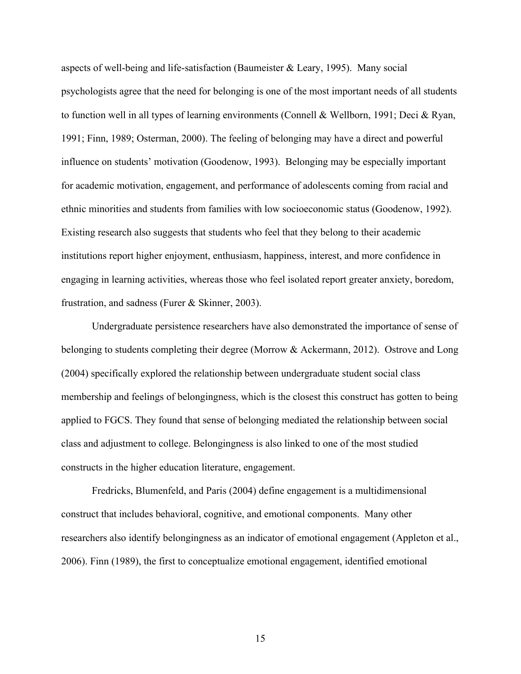aspects of well-being and life-satisfaction (Baumeister & Leary, 1995). Many social psychologists agree that the need for belonging is one of the most important needs of all students to function well in all types of learning environments (Connell & Wellborn, 1991; Deci & Ryan, 1991; Finn, 1989; Osterman, 2000). The feeling of belonging may have a direct and powerful influence on students' motivation (Goodenow, 1993). Belonging may be especially important for academic motivation, engagement, and performance of adolescents coming from racial and ethnic minorities and students from families with low socioeconomic status (Goodenow, 1992). Existing research also suggests that students who feel that they belong to their academic institutions report higher enjoyment, enthusiasm, happiness, interest, and more confidence in engaging in learning activities, whereas those who feel isolated report greater anxiety, boredom, frustration, and sadness (Furer & Skinner, 2003).

Undergraduate persistence researchers have also demonstrated the importance of sense of belonging to students completing their degree (Morrow & Ackermann, 2012). Ostrove and Long (2004) specifically explored the relationship between undergraduate student social class membership and feelings of belongingness, which is the closest this construct has gotten to being applied to FGCS. They found that sense of belonging mediated the relationship between social class and adjustment to college. Belongingness is also linked to one of the most studied constructs in the higher education literature, engagement.

Fredricks, Blumenfeld, and Paris (2004) define engagement is a multidimensional construct that includes behavioral, cognitive, and emotional components. Many other researchers also identify belongingness as an indicator of emotional engagement (Appleton et al., 2006). Finn (1989), the first to conceptualize emotional engagement, identified emotional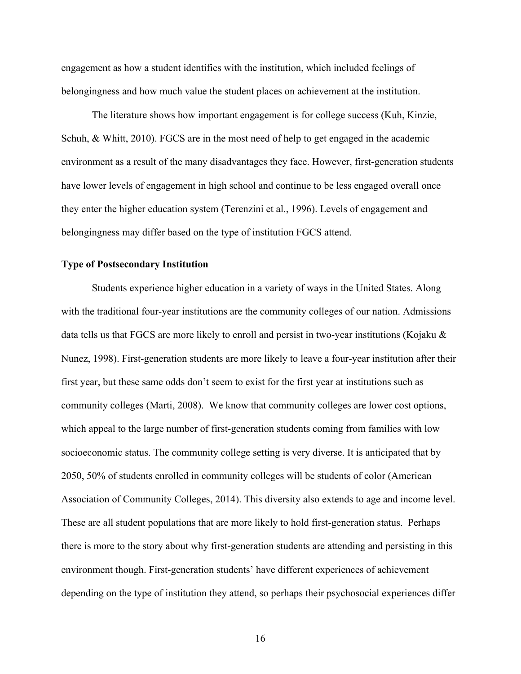engagement as how a student identifies with the institution, which included feelings of belongingness and how much value the student places on achievement at the institution.

The literature shows how important engagement is for college success (Kuh, Kinzie, Schuh, & Whitt, 2010). FGCS are in the most need of help to get engaged in the academic environment as a result of the many disadvantages they face. However, first-generation students have lower levels of engagement in high school and continue to be less engaged overall once they enter the higher education system (Terenzini et al., 1996). Levels of engagement and belongingness may differ based on the type of institution FGCS attend.

### **Type of Postsecondary Institution**

Students experience higher education in a variety of ways in the United States. Along with the traditional four-year institutions are the community colleges of our nation. Admissions data tells us that FGCS are more likely to enroll and persist in two-year institutions (Kojaku  $\&$ Nunez, 1998). First-generation students are more likely to leave a four-year institution after their first year, but these same odds don't seem to exist for the first year at institutions such as community colleges (Marti, 2008). We know that community colleges are lower cost options, which appeal to the large number of first-generation students coming from families with low socioeconomic status. The community college setting is very diverse. It is anticipated that by 2050, 50% of students enrolled in community colleges will be students of color (American Association of Community Colleges, 2014). This diversity also extends to age and income level. These are all student populations that are more likely to hold first-generation status. Perhaps there is more to the story about why first-generation students are attending and persisting in this environment though. First-generation students' have different experiences of achievement depending on the type of institution they attend, so perhaps their psychosocial experiences differ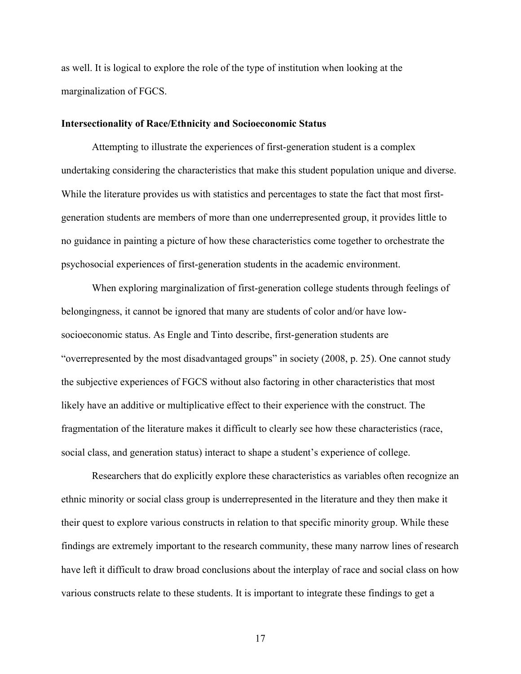as well. It is logical to explore the role of the type of institution when looking at the marginalization of FGCS.

#### **Intersectionality of Race/Ethnicity and Socioeconomic Status**

Attempting to illustrate the experiences of first-generation student is a complex undertaking considering the characteristics that make this student population unique and diverse. While the literature provides us with statistics and percentages to state the fact that most firstgeneration students are members of more than one underrepresented group, it provides little to no guidance in painting a picture of how these characteristics come together to orchestrate the psychosocial experiences of first-generation students in the academic environment.

When exploring marginalization of first-generation college students through feelings of belongingness, it cannot be ignored that many are students of color and/or have lowsocioeconomic status. As Engle and Tinto describe, first-generation students are "overrepresented by the most disadvantaged groups" in society (2008, p. 25). One cannot study the subjective experiences of FGCS without also factoring in other characteristics that most likely have an additive or multiplicative effect to their experience with the construct. The fragmentation of the literature makes it difficult to clearly see how these characteristics (race, social class, and generation status) interact to shape a student's experience of college.

Researchers that do explicitly explore these characteristics as variables often recognize an ethnic minority or social class group is underrepresented in the literature and they then make it their quest to explore various constructs in relation to that specific minority group. While these findings are extremely important to the research community, these many narrow lines of research have left it difficult to draw broad conclusions about the interplay of race and social class on how various constructs relate to these students. It is important to integrate these findings to get a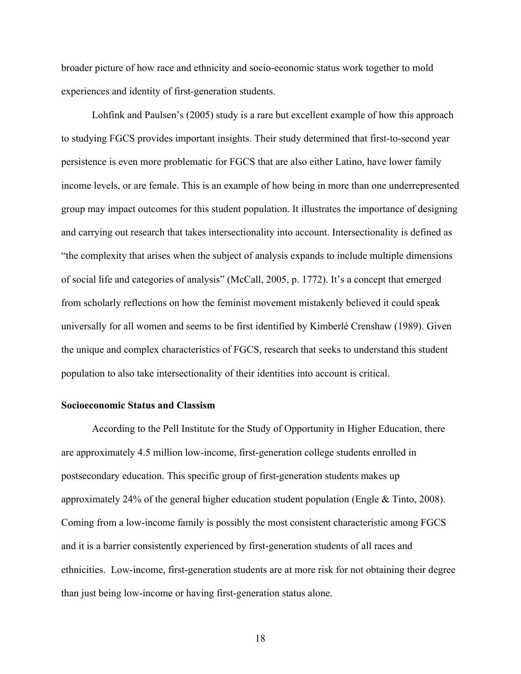broader picture of how race and ethnicity and socio-economic status work together to mold experiences and identity of first-generation students.

Lohfink and Paulsen's (2005) study is a rare but excellent example of how this approach to studying FGCS provides important insights. Their study determined that first-to-second year persistence is even more problematic for FGCS that are also either Latino, have lower family income levels, or are female. This is an example of how being in more than one underrepresented group may impact outcomes for this student population. It illustrates the importance of designing and carrying out research that takes intersectionality into account. Intersectionality is defined as "the complexity that arises when the subject of analysis expands to include multiple dimensions of social life and categories of analysis" (McCall, 2005, p. 1772). It's a concept that emerged from scholarly reflections on how the feminist movement mistakenly believed it could speak universally for all women and seems to be first identified by Kimberlé Crenshaw (1989). Given the unique and complex characteristics of FGCS, research that seeks to understand this student population to also take intersectionality of their identities into account is critical.

#### **Socioeconomic Status and Classism**

According to the Pell Institute for the Study of Opportunity in Higher Education, there are approximately 4.5 million low-income, first-generation college students enrolled in postsecondary education. This specific group of first-generation students makes up approximately 24% of the general higher education student population (Engle  $\&$  Tinto, 2008). Coming from a low-income family is possibly the most consistent characteristic among FGCS and it is a barrier consistently experienced by first-generation students of all races and ethnicities. Low-income, first-generation students are at more risk for not obtaining their degree than just being low-income or having first-generation status alone.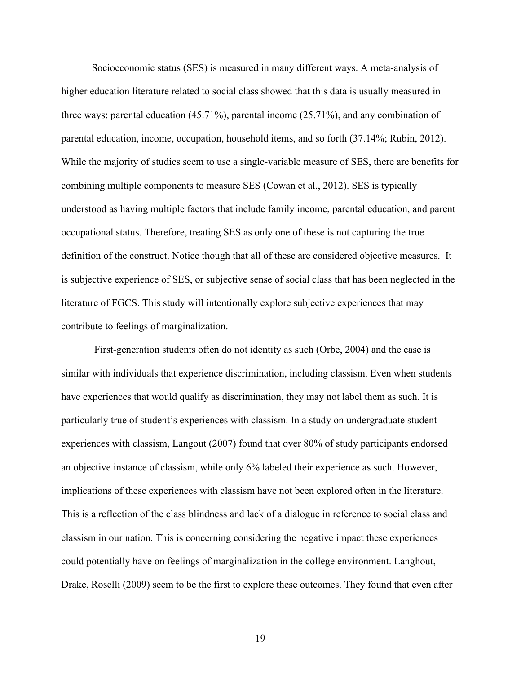Socioeconomic status (SES) is measured in many different ways. A meta-analysis of higher education literature related to social class showed that this data is usually measured in three ways: parental education (45.71%), parental income (25.71%), and any combination of parental education, income, occupation, household items, and so forth (37.14%; Rubin, 2012). While the majority of studies seem to use a single-variable measure of SES, there are benefits for combining multiple components to measure SES (Cowan et al., 2012). SES is typically understood as having multiple factors that include family income, parental education, and parent occupational status. Therefore, treating SES as only one of these is not capturing the true definition of the construct. Notice though that all of these are considered objective measures. It is subjective experience of SES, or subjective sense of social class that has been neglected in the literature of FGCS. This study will intentionally explore subjective experiences that may contribute to feelings of marginalization.

First-generation students often do not identity as such (Orbe, 2004) and the case is similar with individuals that experience discrimination, including classism. Even when students have experiences that would qualify as discrimination, they may not label them as such. It is particularly true of student's experiences with classism. In a study on undergraduate student experiences with classism, Langout (2007) found that over 80% of study participants endorsed an objective instance of classism, while only 6% labeled their experience as such. However, implications of these experiences with classism have not been explored often in the literature. This is a reflection of the class blindness and lack of a dialogue in reference to social class and classism in our nation. This is concerning considering the negative impact these experiences could potentially have on feelings of marginalization in the college environment. Langhout, Drake, Roselli (2009) seem to be the first to explore these outcomes. They found that even after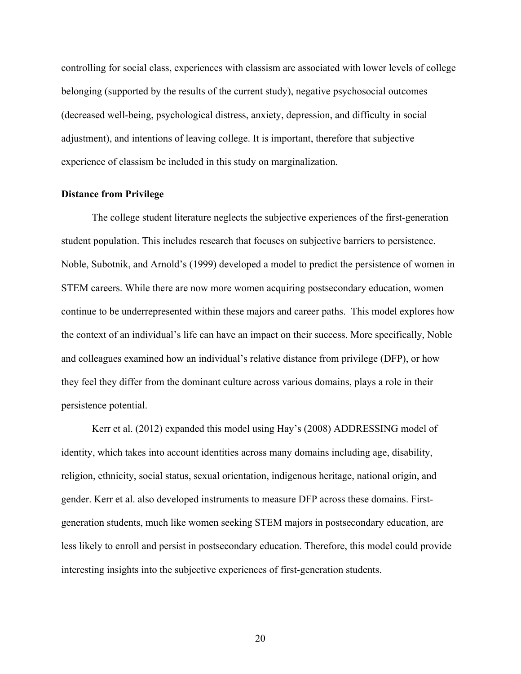controlling for social class, experiences with classism are associated with lower levels of college belonging (supported by the results of the current study), negative psychosocial outcomes (decreased well-being, psychological distress, anxiety, depression, and difficulty in social adjustment), and intentions of leaving college. It is important, therefore that subjective experience of classism be included in this study on marginalization.

## **Distance from Privilege**

The college student literature neglects the subjective experiences of the first-generation student population. This includes research that focuses on subjective barriers to persistence. Noble, Subotnik, and Arnold's (1999) developed a model to predict the persistence of women in STEM careers. While there are now more women acquiring postsecondary education, women continue to be underrepresented within these majors and career paths. This model explores how the context of an individual's life can have an impact on their success. More specifically, Noble and colleagues examined how an individual's relative distance from privilege (DFP), or how they feel they differ from the dominant culture across various domains, plays a role in their persistence potential.

Kerr et al. (2012) expanded this model using Hay's (2008) ADDRESSING model of identity, which takes into account identities across many domains including age, disability, religion, ethnicity, social status, sexual orientation, indigenous heritage, national origin, and gender. Kerr et al. also developed instruments to measure DFP across these domains. Firstgeneration students, much like women seeking STEM majors in postsecondary education, are less likely to enroll and persist in postsecondary education. Therefore, this model could provide interesting insights into the subjective experiences of first-generation students.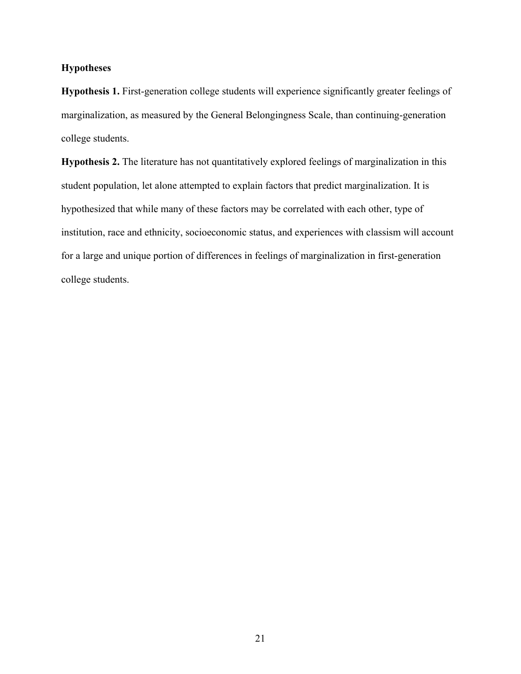## **Hypotheses**

**Hypothesis 1.** First-generation college students will experience significantly greater feelings of marginalization, as measured by the General Belongingness Scale, than continuing-generation college students.

**Hypothesis 2.** The literature has not quantitatively explored feelings of marginalization in this student population, let alone attempted to explain factors that predict marginalization. It is hypothesized that while many of these factors may be correlated with each other, type of institution, race and ethnicity, socioeconomic status, and experiences with classism will account for a large and unique portion of differences in feelings of marginalization in first-generation college students.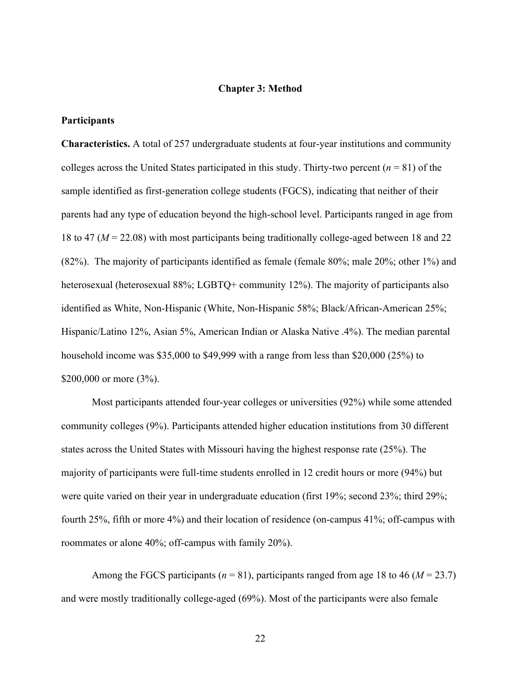#### **Chapter 3: Method**

#### **Participants**

**Characteristics.** A total of 257 undergraduate students at four-year institutions and community colleges across the United States participated in this study. Thirty-two percent  $(n = 81)$  of the sample identified as first-generation college students (FGCS), indicating that neither of their parents had any type of education beyond the high-school level. Participants ranged in age from 18 to 47 (*M* = 22.08) with most participants being traditionally college-aged between 18 and 22 (82%). The majority of participants identified as female (female 80%; male 20%; other 1%) and heterosexual (heterosexual 88%; LGBTQ+ community 12%). The majority of participants also identified as White, Non-Hispanic (White, Non-Hispanic 58%; Black/African-American 25%; Hispanic/Latino 12%, Asian 5%, American Indian or Alaska Native .4%). The median parental household income was \$35,000 to \$49,999 with a range from less than \$20,000 (25%) to \$200,000 or more (3%).

Most participants attended four-year colleges or universities (92%) while some attended community colleges (9%). Participants attended higher education institutions from 30 different states across the United States with Missouri having the highest response rate (25%). The majority of participants were full-time students enrolled in 12 credit hours or more (94%) but were quite varied on their year in undergraduate education (first 19%; second 23%; third 29%; fourth 25%, fifth or more 4%) and their location of residence (on-campus 41%; off-campus with roommates or alone 40%; off-campus with family 20%).

Among the FGCS participants ( $n = 81$ ), participants ranged from age 18 to 46 ( $M = 23.7$ ) and were mostly traditionally college-aged (69%). Most of the participants were also female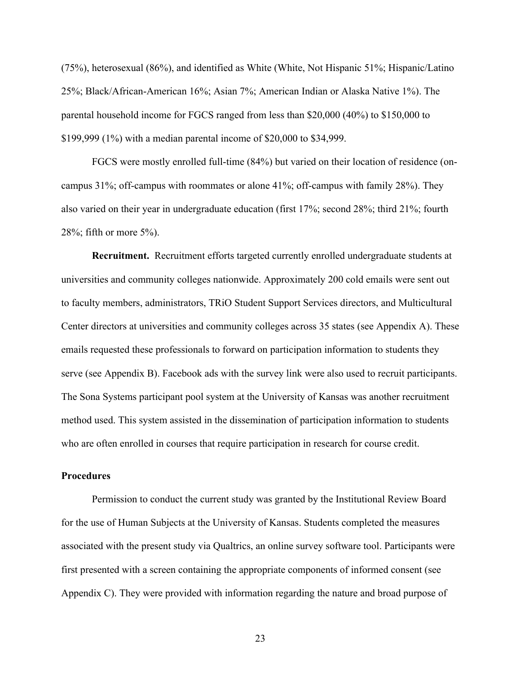(75%), heterosexual (86%), and identified as White (White, Not Hispanic 51%; Hispanic/Latino 25%; Black/African-American 16%; Asian 7%; American Indian or Alaska Native 1%). The parental household income for FGCS ranged from less than \$20,000 (40%) to \$150,000 to \$199,999 (1%) with a median parental income of \$20,000 to \$34,999.

FGCS were mostly enrolled full-time (84%) but varied on their location of residence (oncampus 31%; off-campus with roommates or alone 41%; off-campus with family 28%). They also varied on their year in undergraduate education (first 17%; second 28%; third 21%; fourth 28%; fifth or more 5%).

**Recruitment.** Recruitment efforts targeted currently enrolled undergraduate students at universities and community colleges nationwide. Approximately 200 cold emails were sent out to faculty members, administrators, TRiO Student Support Services directors, and Multicultural Center directors at universities and community colleges across 35 states (see Appendix A). These emails requested these professionals to forward on participation information to students they serve (see Appendix B). Facebook ads with the survey link were also used to recruit participants. The Sona Systems participant pool system at the University of Kansas was another recruitment method used. This system assisted in the dissemination of participation information to students who are often enrolled in courses that require participation in research for course credit.

#### **Procedures**

Permission to conduct the current study was granted by the Institutional Review Board for the use of Human Subjects at the University of Kansas. Students completed the measures associated with the present study via Qualtrics, an online survey software tool. Participants were first presented with a screen containing the appropriate components of informed consent (see Appendix C). They were provided with information regarding the nature and broad purpose of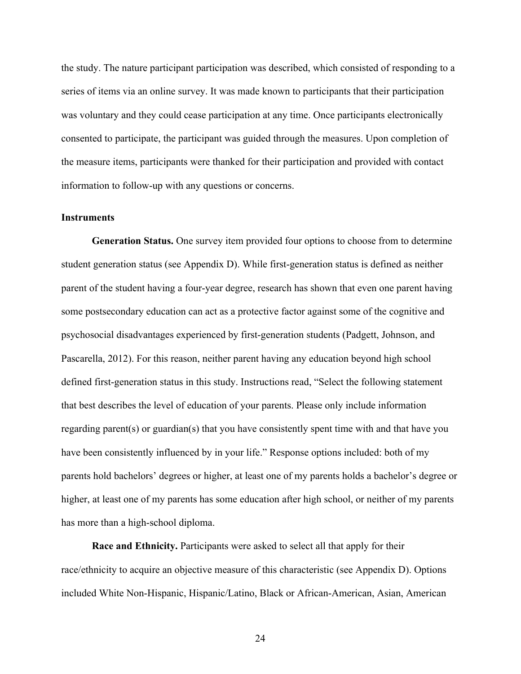the study. The nature participant participation was described, which consisted of responding to a series of items via an online survey. It was made known to participants that their participation was voluntary and they could cease participation at any time. Once participants electronically consented to participate, the participant was guided through the measures. Upon completion of the measure items, participants were thanked for their participation and provided with contact information to follow-up with any questions or concerns.

#### **Instruments**

**Generation Status.** One survey item provided four options to choose from to determine student generation status (see Appendix D). While first-generation status is defined as neither parent of the student having a four-year degree, research has shown that even one parent having some postsecondary education can act as a protective factor against some of the cognitive and psychosocial disadvantages experienced by first-generation students (Padgett, Johnson, and Pascarella, 2012). For this reason, neither parent having any education beyond high school defined first-generation status in this study. Instructions read, "Select the following statement that best describes the level of education of your parents. Please only include information regarding parent(s) or guardian(s) that you have consistently spent time with and that have you have been consistently influenced by in your life." Response options included: both of my parents hold bachelors' degrees or higher, at least one of my parents holds a bachelor's degree or higher, at least one of my parents has some education after high school, or neither of my parents has more than a high-school diploma.

**Race and Ethnicity.** Participants were asked to select all that apply for their race/ethnicity to acquire an objective measure of this characteristic (see Appendix D). Options included White Non-Hispanic, Hispanic/Latino, Black or African-American, Asian, American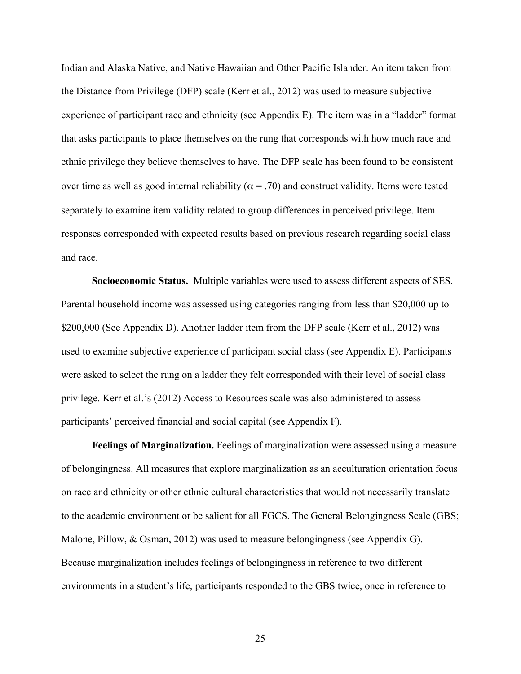Indian and Alaska Native, and Native Hawaiian and Other Pacific Islander. An item taken from the Distance from Privilege (DFP) scale (Kerr et al., 2012) was used to measure subjective experience of participant race and ethnicity (see Appendix E). The item was in a "ladder" format that asks participants to place themselves on the rung that corresponds with how much race and ethnic privilege they believe themselves to have. The DFP scale has been found to be consistent over time as well as good internal reliability ( $\alpha$  = .70) and construct validity. Items were tested separately to examine item validity related to group differences in perceived privilege. Item responses corresponded with expected results based on previous research regarding social class and race.

**Socioeconomic Status.** Multiple variables were used to assess different aspects of SES. Parental household income was assessed using categories ranging from less than \$20,000 up to \$200,000 (See Appendix D). Another ladder item from the DFP scale (Kerr et al., 2012) was used to examine subjective experience of participant social class (see Appendix E). Participants were asked to select the rung on a ladder they felt corresponded with their level of social class privilege. Kerr et al.'s (2012) Access to Resources scale was also administered to assess participants' perceived financial and social capital (see Appendix F).

**Feelings of Marginalization.** Feelings of marginalization were assessed using a measure of belongingness. All measures that explore marginalization as an acculturation orientation focus on race and ethnicity or other ethnic cultural characteristics that would not necessarily translate to the academic environment or be salient for all FGCS. The General Belongingness Scale (GBS; Malone, Pillow, & Osman, 2012) was used to measure belongingness (see Appendix G). Because marginalization includes feelings of belongingness in reference to two different environments in a student's life, participants responded to the GBS twice, once in reference to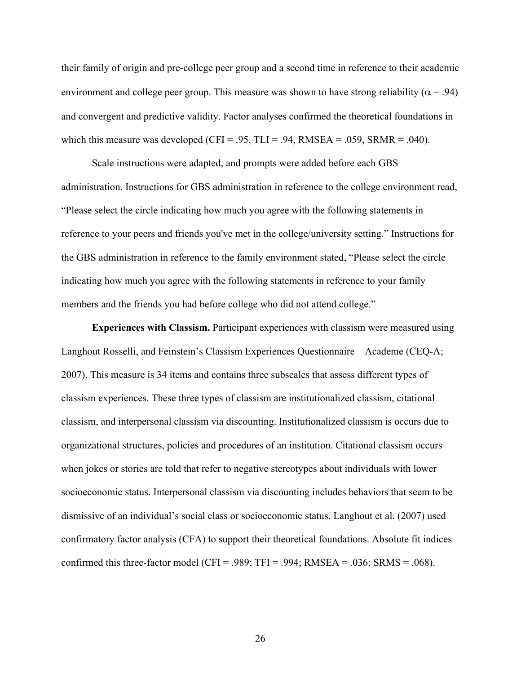their family of origin and pre-college peer group and a second time in reference to their academic environment and college peer group. This measure was shown to have strong reliability ( $\alpha$  = .94) and convergent and predictive validity. Factor analyses confirmed the theoretical foundations in which this measure was developed (CFI = .95, TLI = .94, RMSEA = .059, SRMR = .040).

Scale instructions were adapted, and prompts were added before each GBS administration. Instructions for GBS administration in reference to the college environment read, "Please select the circle indicating how much you agree with the following statements in reference to your peers and friends you've met in the college/university setting." Instructions for the GBS administration in reference to the family environment stated, "Please select the circle indicating how much you agree with the following statements in reference to your family members and the friends you had before college who did not attend college."

**Experiences with Classism.** Participant experiences with classism were measured using Langhout Rosselli, and Feinstein's Classism Experiences Questionnaire – Academe (CEQ-A; 2007). This measure is 34 items and contains three subscales that assess different types of classism experiences. These three types of classism are institutionalized classism, citational classism, and interpersonal classism via discounting. Institutionalized classism is occurs due to organizational structures, policies and procedures of an institution. Citational classism occurs when jokes or stories are told that refer to negative stereotypes about individuals with lower socioeconomic status. Interpersonal classism via discounting includes behaviors that seem to be dismissive of an individual's social class or socioeconomic status. Langhout et al. (2007) used confirmatory factor analysis (CFA) to support their theoretical foundations. Absolute fit indices confirmed this three-factor model (CFI = .989; TFI = .994; RMSEA = .036; SRMS = .068).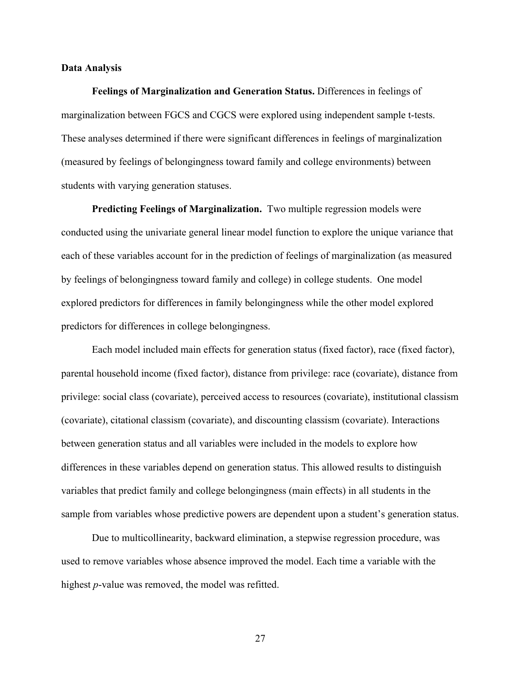#### **Data Analysis**

**Feelings of Marginalization and Generation Status.** Differences in feelings of marginalization between FGCS and CGCS were explored using independent sample t-tests. These analyses determined if there were significant differences in feelings of marginalization (measured by feelings of belongingness toward family and college environments) between students with varying generation statuses.

**Predicting Feelings of Marginalization.** Two multiple regression models were conducted using the univariate general linear model function to explore the unique variance that each of these variables account for in the prediction of feelings of marginalization (as measured by feelings of belongingness toward family and college) in college students. One model explored predictors for differences in family belongingness while the other model explored predictors for differences in college belongingness.

Each model included main effects for generation status (fixed factor), race (fixed factor), parental household income (fixed factor), distance from privilege: race (covariate), distance from privilege: social class (covariate), perceived access to resources (covariate), institutional classism (covariate), citational classism (covariate), and discounting classism (covariate). Interactions between generation status and all variables were included in the models to explore how differences in these variables depend on generation status. This allowed results to distinguish variables that predict family and college belongingness (main effects) in all students in the sample from variables whose predictive powers are dependent upon a student's generation status.

Due to multicollinearity, backward elimination, a stepwise regression procedure, was used to remove variables whose absence improved the model. Each time a variable with the highest *p*-value was removed, the model was refitted.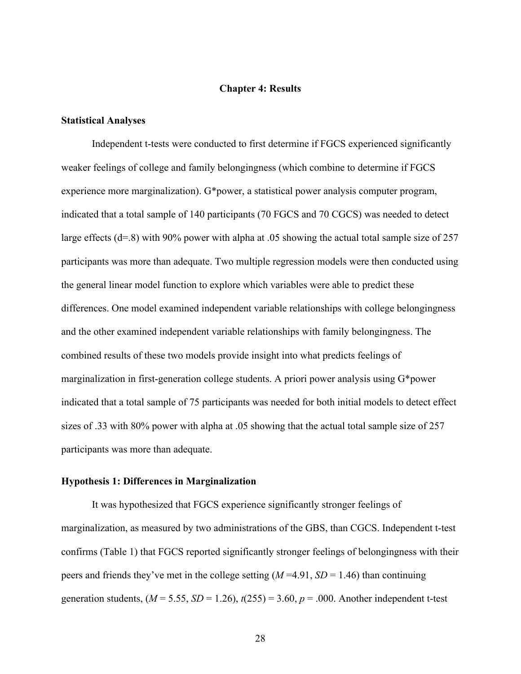#### **Chapter 4: Results**

#### **Statistical Analyses**

Independent t-tests were conducted to first determine if FGCS experienced significantly weaker feelings of college and family belongingness (which combine to determine if FGCS experience more marginalization). G\*power, a statistical power analysis computer program, indicated that a total sample of 140 participants (70 FGCS and 70 CGCS) was needed to detect large effects (d=.8) with 90% power with alpha at .05 showing the actual total sample size of 257 participants was more than adequate. Two multiple regression models were then conducted using the general linear model function to explore which variables were able to predict these differences. One model examined independent variable relationships with college belongingness and the other examined independent variable relationships with family belongingness. The combined results of these two models provide insight into what predicts feelings of marginalization in first-generation college students. A priori power analysis using G\*power indicated that a total sample of 75 participants was needed for both initial models to detect effect sizes of .33 with 80% power with alpha at .05 showing that the actual total sample size of 257 participants was more than adequate.

#### **Hypothesis 1: Differences in Marginalization**

It was hypothesized that FGCS experience significantly stronger feelings of marginalization, as measured by two administrations of the GBS, than CGCS. Independent t-test confirms (Table 1) that FGCS reported significantly stronger feelings of belongingness with their peers and friends they've met in the college setting (*M* =4.91, *SD* = 1.46) than continuing generation students,  $(M = 5.55, SD = 1.26)$ ,  $t(255) = 3.60, p = .000$ . Another independent t-test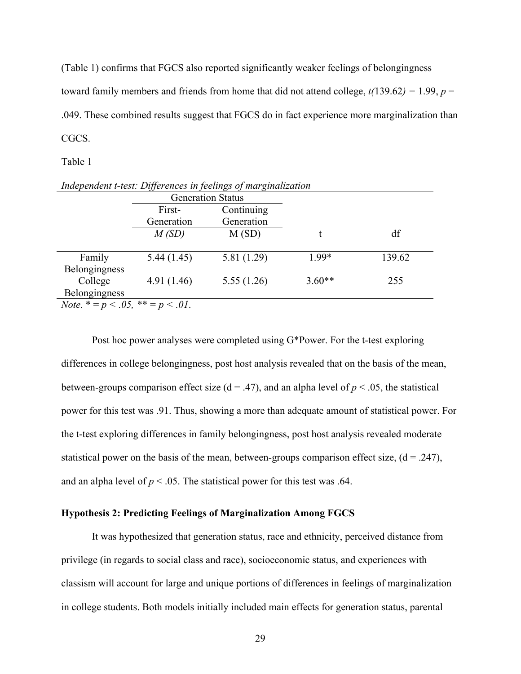(Table 1) confirms that FGCS also reported significantly weaker feelings of belongingness toward family members and friends from home that did not attend college,  $t(139.62) = 1.99$ ,  $p =$ .049. These combined results suggest that FGCS do in fact experience more marginalization than CGCS.

#### Table 1

| Independent t-test: Differences in feelings of marginalization |            |                          |          |        |  |  |  |  |
|----------------------------------------------------------------|------------|--------------------------|----------|--------|--|--|--|--|
|                                                                |            | <b>Generation Status</b> |          |        |  |  |  |  |
|                                                                | First-     | Continuing               |          |        |  |  |  |  |
|                                                                | Generation | Generation               |          |        |  |  |  |  |
|                                                                | M(SD)      | M(SD)                    |          | df     |  |  |  |  |
|                                                                |            |                          |          |        |  |  |  |  |
| Family                                                         | 5.44(1.45) | 5.81 (1.29)              | 1.99*    | 139.62 |  |  |  |  |
| Belongingness                                                  |            |                          |          |        |  |  |  |  |
| College                                                        | 4.91(1.46) | 5.55(1.26)               | $3.60**$ | 255    |  |  |  |  |
| Belongingness                                                  |            |                          |          |        |  |  |  |  |
| $Note * = n < 0.6 ** = n < 0.1$                                |            |                          |          |        |  |  |  |  |

*Note.*  $* = p < .05$ ,  $* = p < .01$ .

Post hoc power analyses were completed using G\*Power. For the t-test exploring differences in college belongingness, post host analysis revealed that on the basis of the mean, between-groups comparison effect size  $(d = .47)$ , and an alpha level of  $p < .05$ , the statistical power for this test was .91. Thus, showing a more than adequate amount of statistical power. For the t-test exploring differences in family belongingness, post host analysis revealed moderate statistical power on the basis of the mean, between-groups comparison effect size,  $(d = .247)$ , and an alpha level of  $p < 0.05$ . The statistical power for this test was .64.

## **Hypothesis 2: Predicting Feelings of Marginalization Among FGCS**

It was hypothesized that generation status, race and ethnicity, perceived distance from privilege (in regards to social class and race), socioeconomic status, and experiences with classism will account for large and unique portions of differences in feelings of marginalization in college students. Both models initially included main effects for generation status, parental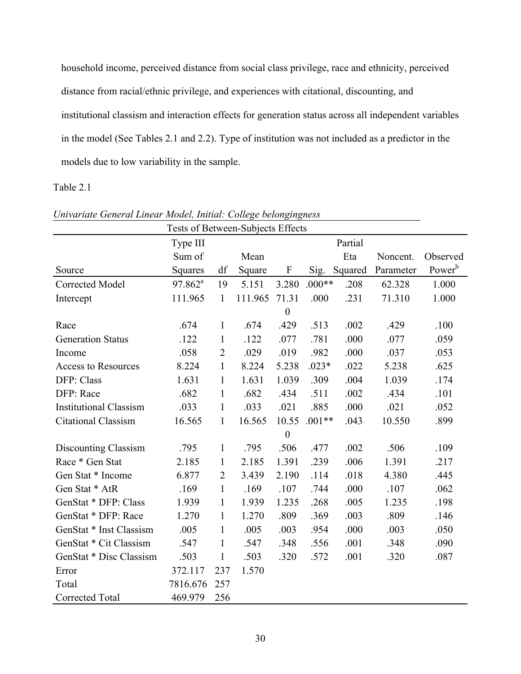household income, perceived distance from social class privilege, race and ethnicity, perceived distance from racial/ethnic privilege, and experiences with citational, discounting, and institutional classism and interaction effects for generation status across all independent variables in the model (See Tables 2.1 and 2.2). Type of institution was not included as a predictor in the models due to low variability in the sample.

## Table 2.1

| Tests of Between-Subjects Effects |                       |                |         |                           |          |         |           |                    |
|-----------------------------------|-----------------------|----------------|---------|---------------------------|----------|---------|-----------|--------------------|
|                                   | Type III              |                |         |                           |          | Partial |           |                    |
|                                   | Sum of                |                | Mean    |                           |          | Eta     | Noncent.  | Observed           |
| Source                            | Squares               | df             | Square  | $\boldsymbol{\mathrm{F}}$ | Sig.     | Squared | Parameter | Power <sup>b</sup> |
| Corrected Model                   | $97.862$ <sup>a</sup> | 19             | 5.151   | 3.280                     | $.000**$ | .208    | 62.328    | 1.000              |
| Intercept                         | 111.965               | $\mathbf{1}$   | 111.965 | 71.31                     | .000     | .231    | 71.310    | 1.000              |
|                                   |                       |                |         | $\mathbf{0}$              |          |         |           |                    |
| Race                              | .674                  | $\mathbf{1}$   | .674    | .429                      | .513     | .002    | .429      | .100               |
| <b>Generation Status</b>          | .122                  | $\mathbf{1}$   | .122    | .077                      | .781     | .000    | .077      | .059               |
| Income                            | .058                  | $\overline{2}$ | .029    | .019                      | .982     | .000    | .037      | .053               |
| <b>Access to Resources</b>        | 8.224                 | $\mathbf{1}$   | 8.224   | 5.238                     | $.023*$  | .022    | 5.238     | .625               |
| DFP: Class                        | 1.631                 | $\mathbf{1}$   | 1.631   | 1.039                     | .309     | .004    | 1.039     | .174               |
| DFP: Race                         | .682                  | $\mathbf{1}$   | .682    | .434                      | .511     | .002    | .434      | .101               |
| <b>Institutional Classism</b>     | .033                  | $\mathbf{1}$   | .033    | .021                      | .885     | .000    | .021      | .052               |
| <b>Citational Classism</b>        | 16.565                | $\mathbf{1}$   | 16.565  | 10.55                     | $.001**$ | .043    | 10.550    | .899               |
|                                   |                       |                |         | $\boldsymbol{0}$          |          |         |           |                    |
| Discounting Classism              | .795                  | $\mathbf{1}$   | .795    | .506                      | .477     | .002    | .506      | .109               |
| Race * Gen Stat                   | 2.185                 | 1              | 2.185   | 1.391                     | .239     | .006    | 1.391     | .217               |
| Gen Stat * Income                 | 6.877                 | $\overline{2}$ | 3.439   | 2.190                     | .114     | .018    | 4.380     | .445               |
| Gen Stat * AtR                    | .169                  | $\mathbf{1}$   | .169    | .107                      | .744     | .000    | .107      | .062               |
| GenStat * DFP: Class              | 1.939                 | $\mathbf{1}$   | 1.939   | 1.235                     | .268     | .005    | 1.235     | .198               |
| GenStat * DFP: Race               | 1.270                 | $\mathbf{1}$   | 1.270   | .809                      | .369     | .003    | .809      | .146               |
| GenStat * Inst Classism           | .005                  | $\mathbf{1}$   | .005    | .003                      | .954     | .000    | .003      | .050               |
| GenStat * Cit Classism            | .547                  | $\mathbf{1}$   | .547    | .348                      | .556     | .001    | .348      | .090               |
| GenStat * Disc Classism           | .503                  | 1              | .503    | .320                      | .572     | .001    | .320      | .087               |
| Error                             | 372.117               | 237            | 1.570   |                           |          |         |           |                    |
| Total                             | 7816.676              | 257            |         |                           |          |         |           |                    |
| Corrected Total                   | 469.979               | 256            |         |                           |          |         |           |                    |

*Univariate General Linear Model, Initial: College belongingness*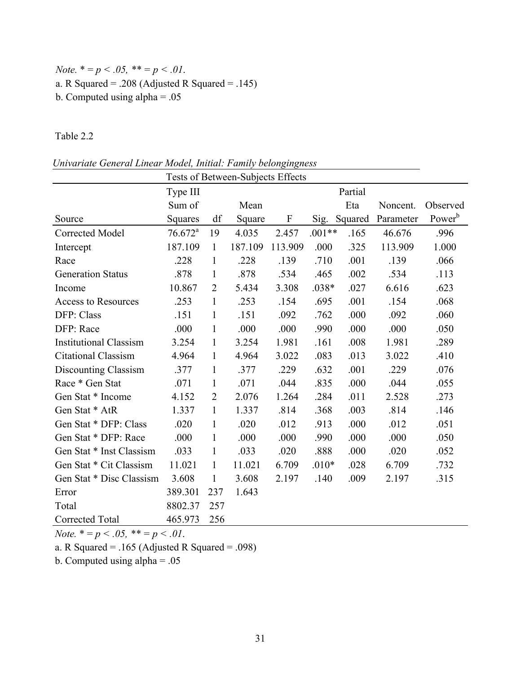# *Note.*  $* = p < .05$ ,  $** = p < .01$ . a. R Squared = .208 (Adjusted R Squared = .145) b. Computed using alpha = .05

Table 2.2

| Tests of Between-Subjects Effects |                       |                |         |                           |          |         |           |                    |  |
|-----------------------------------|-----------------------|----------------|---------|---------------------------|----------|---------|-----------|--------------------|--|
|                                   | Type III              |                |         |                           |          | Partial |           |                    |  |
|                                   | Sum of                |                | Mean    |                           |          | Eta     | Noncent.  | Observed           |  |
| Source                            | Squares               | df             | Square  | $\boldsymbol{\mathrm{F}}$ | Sig.     | Squared | Parameter | Power <sup>b</sup> |  |
| Corrected Model                   | $76.672$ <sup>a</sup> | 19             | 4.035   | 2.457                     | $.001**$ | .165    | 46.676    | .996               |  |
| Intercept                         | 187.109               | $\mathbf{1}$   | 187.109 | 113.909                   | .000     | .325    | 113.909   | 1.000              |  |
| Race                              | .228                  | $\mathbf{1}$   | .228    | .139                      | .710     | .001    | .139      | .066               |  |
| <b>Generation Status</b>          | .878                  | $\mathbf{1}$   | .878    | .534                      | .465     | .002    | .534      | .113               |  |
| Income                            | 10.867                | $\overline{2}$ | 5.434   | 3.308                     | $.038*$  | .027    | 6.616     | .623               |  |
| <b>Access to Resources</b>        | .253                  | $\mathbf{1}$   | .253    | .154                      | .695     | .001    | .154      | .068               |  |
| DFP: Class                        | .151                  | $\mathbf{1}$   | .151    | .092                      | .762     | .000    | .092      | .060               |  |
| DFP: Race                         | .000                  | $\mathbf{1}$   | .000    | .000                      | .990     | .000    | .000      | .050               |  |
| <b>Institutional Classism</b>     | 3.254                 | $\mathbf{1}$   | 3.254   | 1.981                     | .161     | .008    | 1.981     | .289               |  |
| <b>Citational Classism</b>        | 4.964                 | $\mathbf{1}$   | 4.964   | 3.022                     | .083     | .013    | 3.022     | .410               |  |
| <b>Discounting Classism</b>       | .377                  | $\mathbf{1}$   | .377    | .229                      | .632     | .001    | .229      | .076               |  |
| Race * Gen Stat                   | .071                  | $\mathbf{1}$   | .071    | .044                      | .835     | .000    | .044      | .055               |  |
| Gen Stat * Income                 | 4.152                 | $\overline{2}$ | 2.076   | 1.264                     | .284     | .011    | 2.528     | .273               |  |
| Gen Stat * AtR                    | 1.337                 | $\mathbf{1}$   | 1.337   | .814                      | .368     | .003    | .814      | .146               |  |
| Gen Stat * DFP: Class             | .020                  | $\mathbf{1}$   | .020    | .012                      | .913     | .000    | .012      | .051               |  |
| Gen Stat * DFP: Race              | .000                  | $\mathbf{1}$   | .000    | .000                      | .990     | .000    | .000      | .050               |  |
| Gen Stat * Inst Classism          | .033                  | $\mathbf{1}$   | .033    | .020                      | .888     | .000    | .020      | .052               |  |
| Gen Stat * Cit Classism           | 11.021                | $\mathbf{1}$   | 11.021  | 6.709                     | $.010*$  | .028    | 6.709     | .732               |  |
| Gen Stat * Disc Classism          | 3.608                 | 1              | 3.608   | 2.197                     | .140     | .009    | 2.197     | .315               |  |
| Error                             | 389.301               | 237            | 1.643   |                           |          |         |           |                    |  |
| Total                             | 8802.37               | 257            |         |                           |          |         |           |                    |  |
| Corrected Total                   | 465.973               | 256            |         |                           |          |         |           |                    |  |

*Univariate General Linear Model, Initial: Family belongingness*

*Note.*  $* = p < .05$ ,  $* = p < .01$ .

a. R Squared =  $.165$  (Adjusted R Squared =  $.098$ )

b. Computed using alpha = .05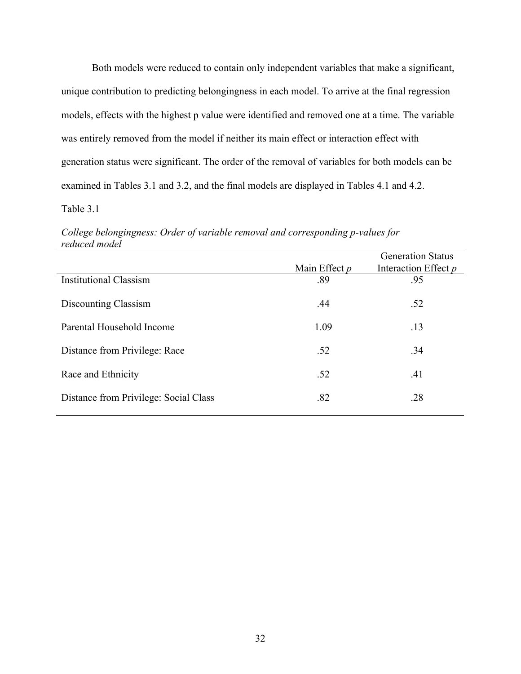Both models were reduced to contain only independent variables that make a significant, unique contribution to predicting belongingness in each model. To arrive at the final regression models, effects with the highest p value were identified and removed one at a time. The variable was entirely removed from the model if neither its main effect or interaction effect with generation status were significant. The order of the removal of variables for both models can be examined in Tables 3.1 and 3.2, and the final models are displayed in Tables 4.1 and 4.2. Table 3.1

*College belongingness: Order of variable removal and corresponding p-values for reduced model*

|                                       |                 | <b>Generation Status</b> |  |  |
|---------------------------------------|-----------------|--------------------------|--|--|
|                                       | Main Effect $p$ | Interaction Effect p     |  |  |
| <b>Institutional Classism</b>         | .89             | .95                      |  |  |
| Discounting Classism                  | .44             | .52                      |  |  |
| Parental Household Income             | 1.09            | .13                      |  |  |
| Distance from Privilege: Race         | .52             | .34                      |  |  |
| Race and Ethnicity                    | .52             | .41                      |  |  |
| Distance from Privilege: Social Class | .82             | .28                      |  |  |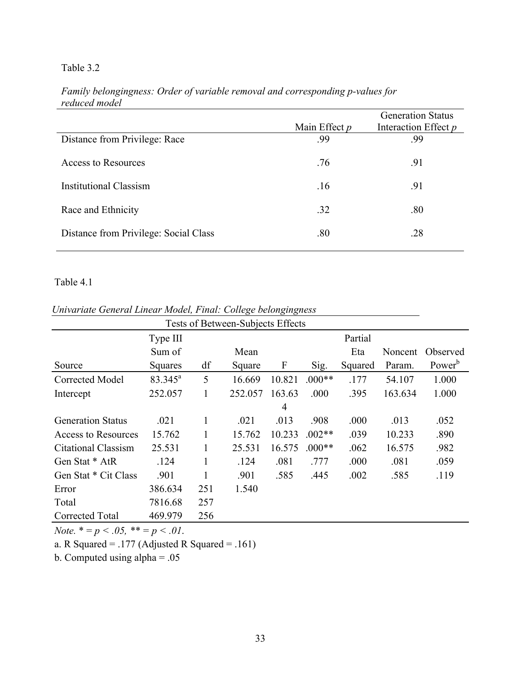# Table 3.2

|                                       | Main Effect $p$ | <b>Generation Status</b><br>Interaction Effect p |
|---------------------------------------|-----------------|--------------------------------------------------|
| Distance from Privilege: Race         | .99             | .99                                              |
| Access to Resources                   | .76             | .91                                              |
| <b>Institutional Classism</b>         | .16             | .91                                              |
| Race and Ethnicity                    | .32             | .80                                              |
| Distance from Privilege: Social Class | .80             | .28                                              |

# *Family belongingness: Order of variable removal and corresponding p-values for reduced model*

# Table 4.1

|                          | Tests of Between-Subjects Effects |     |         |        |          |         |         |                    |  |  |  |  |
|--------------------------|-----------------------------------|-----|---------|--------|----------|---------|---------|--------------------|--|--|--|--|
|                          | Type III                          |     |         |        |          | Partial |         |                    |  |  |  |  |
|                          | Sum of                            |     | Mean    |        |          | Eta     | Noncent | Observed           |  |  |  |  |
| Source                   | Squares                           | df  | Square  | F      | Sig.     | Squared | Param.  | Power <sup>b</sup> |  |  |  |  |
| Corrected Model          | $83.345^a$                        | 5   | 16.669  | 10.821 | $.000**$ | .177    | 54.107  | 1.000              |  |  |  |  |
| Intercept                | 252.057                           |     | 252.057 | 163.63 | .000     | .395    | 163.634 | 1.000              |  |  |  |  |
|                          |                                   |     |         | 4      |          |         |         |                    |  |  |  |  |
| <b>Generation Status</b> | .021                              |     | .021    | .013   | .908     | .000    | .013    | .052               |  |  |  |  |
| Access to Resources      | 15.762                            |     | 15.762  | 10.233 | $.002**$ | .039    | 10.233  | .890               |  |  |  |  |
| Citational Classism      | 25.531                            |     | 25.531  | 16.575 | $0.00**$ | .062    | 16.575  | .982               |  |  |  |  |
| Gen Stat * AtR           | .124                              |     | .124    | .081   | .777     | .000    | .081    | .059               |  |  |  |  |
| Gen Stat * Cit Class     | .901                              |     | .901    | .585   | .445     | .002    | .585    | .119               |  |  |  |  |
| Error                    | 386.634                           | 251 | 1.540   |        |          |         |         |                    |  |  |  |  |
| Total                    | 7816.68                           | 257 |         |        |          |         |         |                    |  |  |  |  |
| Corrected Total          | 469.979                           | 256 |         |        |          |         |         |                    |  |  |  |  |

*Univariate General Linear Model, Final: College belongingness*

*Note.*  $* = p < .05$ ,  $** = p < .01$ .

a. R Squared = .177 (Adjusted R Squared = .161)

b. Computed using alpha = .05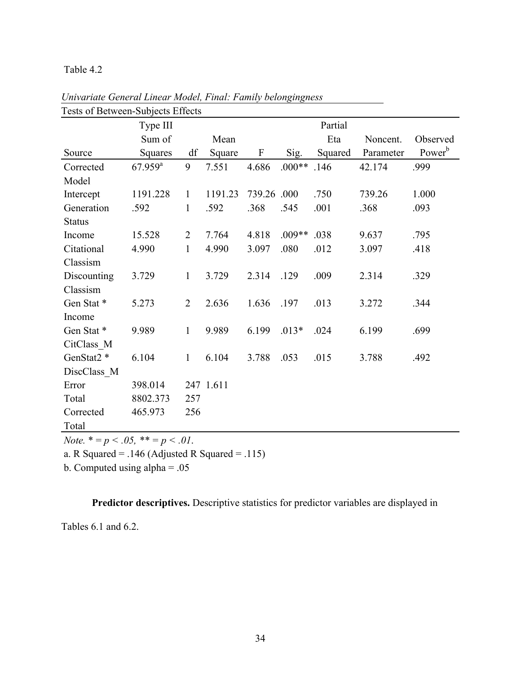#### Table 4.2

| I USIS OI DUIWUUI-BUDJUUS EIIUUS | Type III              |                |           |                           |          | Partial |           |                    |
|----------------------------------|-----------------------|----------------|-----------|---------------------------|----------|---------|-----------|--------------------|
|                                  | Sum of                |                | Mean      |                           |          | Eta     | Noncent.  | Observed           |
| Source                           | Squares               | df             | Square    | $\boldsymbol{\mathrm{F}}$ | Sig.     | Squared | Parameter | Power <sup>b</sup> |
| Corrected                        | $67.959$ <sup>a</sup> | 9              | 7.551     | 4.686                     | $.000**$ | .146    | 42.174    | .999               |
| Model                            |                       |                |           |                           |          |         |           |                    |
| Intercept                        | 1191.228              | $\mathbf{1}$   | 1191.23   | 739.26                    | .000     | .750    | 739.26    | 1.000              |
| Generation                       | .592                  | 1              | .592      | .368                      | .545     | .001    | .368      | .093               |
| <b>Status</b>                    |                       |                |           |                           |          |         |           |                    |
| Income                           | 15.528                | $\overline{2}$ | 7.764     | 4.818                     | $.009**$ | .038    | 9.637     | .795               |
| Citational                       | 4.990                 | $\mathbf{1}$   | 4.990     | 3.097                     | .080     | .012    | 3.097     | .418               |
| Classism                         |                       |                |           |                           |          |         |           |                    |
| Discounting                      | 3.729                 | $\mathbf{1}$   | 3.729     | 2.314                     | .129     | .009    | 2.314     | .329               |
| Classism                         |                       |                |           |                           |          |         |           |                    |
| Gen Stat*                        | 5.273                 | $\overline{2}$ | 2.636     | 1.636                     | .197     | .013    | 3.272     | .344               |
| Income                           |                       |                |           |                           |          |         |           |                    |
| Gen Stat*                        | 9.989                 | $\mathbf{1}$   | 9.989     | 6.199                     | $.013*$  | .024    | 6.199     | .699               |
| CitClass M                       |                       |                |           |                           |          |         |           |                    |
| GenStat2 <sup>*</sup>            | 6.104                 | $\mathbf{1}$   | 6.104     | 3.788                     | .053     | .015    | 3.788     | .492               |
| DiscClass M                      |                       |                |           |                           |          |         |           |                    |
| Error                            | 398.014               |                | 247 1.611 |                           |          |         |           |                    |
| Total                            | 8802.373              | 257            |           |                           |          |         |           |                    |
| Corrected                        | 465.973               | 256            |           |                           |          |         |           |                    |
| Total                            |                       |                |           |                           |          |         |           |                    |

*Univariate General Linear Model, Final: Family belongingness* Tests of Between-Subjects Effects

*Note.*  $* = p < .05$ ,  $** = p < .01$ .

a. R Squared =  $.146$  (Adjusted R Squared =  $.115$ )

b. Computed using alpha = .05

**Predictor descriptives.** Descriptive statistics for predictor variables are displayed in

Tables 6.1 and 6.2.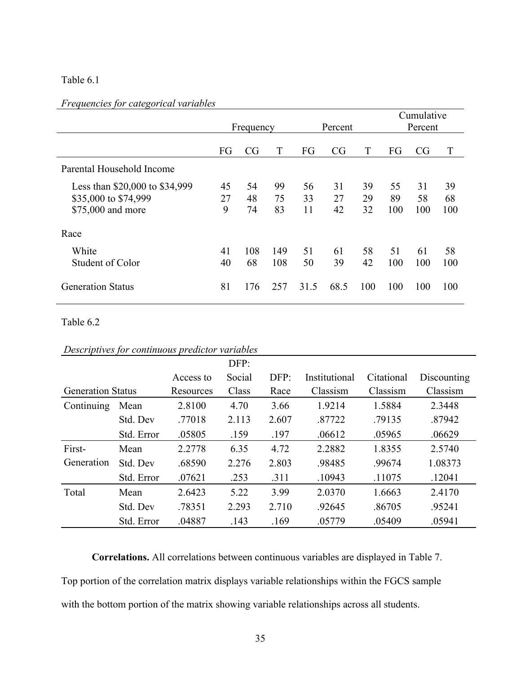## Table 6.1

## *Frequencies for categorical variables*

|                                                                             | Frequency     |                |                | Percent        |                |                | Cumulative<br>Percent |                 |                 |
|-----------------------------------------------------------------------------|---------------|----------------|----------------|----------------|----------------|----------------|-----------------------|-----------------|-----------------|
|                                                                             | FG            | CG             | T              | FG             | CG             | T              | FG                    | CG              | T               |
| Parental Household Income                                                   |               |                |                |                |                |                |                       |                 |                 |
| Less than \$20,000 to \$34,999<br>\$35,000 to \$74,999<br>\$75,000 and more | 45<br>27<br>9 | 54<br>48<br>74 | 99<br>75<br>83 | 56<br>33<br>11 | 31<br>27<br>42 | 39<br>29<br>32 | 55<br>89<br>100       | 31<br>58<br>100 | 39<br>68<br>100 |
| Race                                                                        |               |                |                |                |                |                |                       |                 |                 |
| White<br>Student of Color                                                   | 41<br>40      | 108<br>68      | 149<br>108     | 51<br>50       | 61<br>39       | 58<br>42       | 51<br>100             | 61<br>100       | 58<br>100       |
| <b>Generation Status</b>                                                    | 81            | 176            | 257            | 31.5           | 68.5           | 100            | 100                   | 100             | 100             |

### Table 6.2

| Descriptives for continuous predictor variables |  |  |
|-------------------------------------------------|--|--|
|-------------------------------------------------|--|--|

|                          |            |           | DFP:   |       |               |            |             |
|--------------------------|------------|-----------|--------|-------|---------------|------------|-------------|
|                          |            | Access to | Social | DFP:  | Institutional | Citational | Discounting |
| <b>Generation Status</b> |            | Resources | Class  | Race  | Classism      | Classism   | Classism    |
| Continuing               | Mean       | 2.8100    | 4.70   | 3.66  | 1.9214        | 1.5884     | 2.3448      |
|                          | Std. Dev   | .77018    | 2.113  | 2.607 | .87722        | .79135     | .87942      |
|                          | Std. Error | .05805    | .159   | .197  | .06612        | .05965     | .06629      |
| First-                   | Mean       | 2.2778    | 6.35   | 4.72  | 2.2882        | 1.8355     | 2.5740      |
| Generation               | Std. Dev   | .68590    | 2.276  | 2.803 | .98485        | .99674     | 1.08373     |
|                          | Std. Error | .07621    | .253   | .311  | .10943        | .11075     | .12041      |
| Total                    | Mean       | 2.6423    | 5.22   | 3.99  | 2.0370        | 1.6663     | 2.4170      |
|                          | Std. Dev   | .78351    | 2.293  | 2.710 | .92645        | .86705     | .95241      |
|                          | Std. Error | .04887    | .143   | .169  | .05779        | .05409     | .05941      |

**Correlations.** All correlations between continuous variables are displayed in Table 7. Top portion of the correlation matrix displays variable relationships within the FGCS sample with the bottom portion of the matrix showing variable relationships across all students.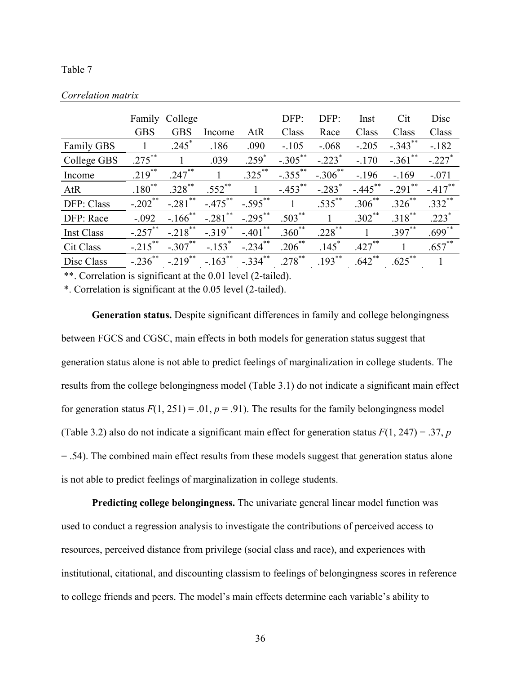#### Table 7

|                   |             | Family College        |                       |                       | DFP:        | DFP:                 | Inst        | Cit        | Disc                 |
|-------------------|-------------|-----------------------|-----------------------|-----------------------|-------------|----------------------|-------------|------------|----------------------|
|                   | <b>GBS</b>  | <b>GBS</b>            | Income                | AtR                   | Class       | Race                 | Class       | Class      | Class                |
| <b>Family GBS</b> |             | $.245*$               | .186                  | .090                  | $-.105$     | $-.068$              | $-.205$     | $-.343***$ | $-182$               |
| College GBS       | $.275***$   |                       | .039                  | $.259*$               | $-.305***$  | $-.223$ <sup>*</sup> | $-170$      | $-.361$ ** | $-.227$ <sup>*</sup> |
| Income            | $.219$ **   | $.247***$             |                       | $.325***$             | $-.355$ **  | $-.306$ **           | $-196$      | $-169$     | $-.071$              |
| AtR               | $.180^{**}$ | $.328$ **             | $.552$ **             |                       | $-.453$ **  | $-.283$ <sup>*</sup> | $-.445$ **  | $-.291$ ** | $-417$ **            |
| DFP: Class        | $-.202$ **  | $-.281$ **            | $-.475***$            | $-.595$ **            | 1           | $.535$ **            | $.306^{**}$ | $.326$ **  | $.332$ **            |
| DFP: Race         | $-.092$     | $-.166$ **            | $-281$ <sup>**</sup>  | $-.295***$            | $.503$ **   | 1                    | $.302$ **   | $.318***$  | $.223*$              |
| <b>Inst Class</b> | $-.257$ **  | $-.218$ <sup>**</sup> | $-.319$ <sup>**</sup> | $-.401$ <sup>**</sup> | $.360^{**}$ | $.228$ **            |             | $.397***$  | $.699***$            |
| Cit Class         | $-.215$ **  | $-.307***$            | $-.153$ <sup>*</sup>  | $-234$                | $.206$ **   | .145                 | $.427***$   | 1          | $.657$ **            |
| Disc Class        | $-.236$ **  | $-.219$ <sup>**</sup> | $-.163$ <sup>**</sup> | $-.334$ **            | $.278$ **   | $.193***$            | $.642$ **   | $.625***$  | 1                    |

#### *Correlation matrix*

\*\*. Correlation is significant at the 0.01 level (2-tailed).

\*. Correlation is significant at the 0.05 level (2-tailed).

**Generation status.** Despite significant differences in family and college belongingness between FGCS and CGSC, main effects in both models for generation status suggest that generation status alone is not able to predict feelings of marginalization in college students. The results from the college belongingness model (Table 3.1) do not indicate a significant main effect for generation status  $F(1, 251) = .01$ ,  $p = .91$ ). The results for the family belongingness model (Table 3.2) also do not indicate a significant main effect for generation status  $F(1, 247) = .37$ , *p* = .54). The combined main effect results from these models suggest that generation status alone is not able to predict feelings of marginalization in college students.

**Predicting college belongingness.** The univariate general linear model function was used to conduct a regression analysis to investigate the contributions of perceived access to resources, perceived distance from privilege (social class and race), and experiences with institutional, citational, and discounting classism to feelings of belongingness scores in reference to college friends and peers. The model's main effects determine each variable's ability to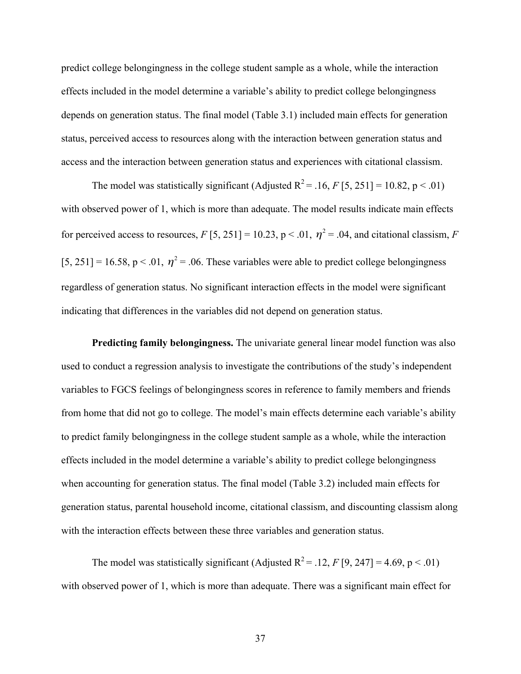predict college belongingness in the college student sample as a whole, while the interaction effects included in the model determine a variable's ability to predict college belongingness depends on generation status. The final model (Table 3.1) included main effects for generation status, perceived access to resources along with the interaction between generation status and access and the interaction between generation status and experiences with citational classism.

The model was statistically significant (Adjusted  $R^2 = .16$ , *F* [5, 251] = 10.82, p < .01) with observed power of 1, which is more than adequate. The model results indicate main effects for perceived access to resources,  $F[5, 251] = 10.23$ ,  $p < .01$ ,  $\eta^2 = .04$ , and citational classism, *F* [5, 251] = 16.58, p < .01,  $\eta^2$  = .06. These variables were able to predict college belongingness regardless of generation status. No significant interaction effects in the model were significant indicating that differences in the variables did not depend on generation status.

**Predicting family belongingness.** The univariate general linear model function was also used to conduct a regression analysis to investigate the contributions of the study's independent variables to FGCS feelings of belongingness scores in reference to family members and friends from home that did not go to college. The model's main effects determine each variable's ability to predict family belongingness in the college student sample as a whole, while the interaction effects included in the model determine a variable's ability to predict college belongingness when accounting for generation status. The final model (Table 3.2) included main effects for generation status, parental household income, citational classism, and discounting classism along with the interaction effects between these three variables and generation status.

The model was statistically significant (Adjusted  $R^2 = .12$ , *F* [9, 247] = 4.69, p < .01) with observed power of 1, which is more than adequate. There was a significant main effect for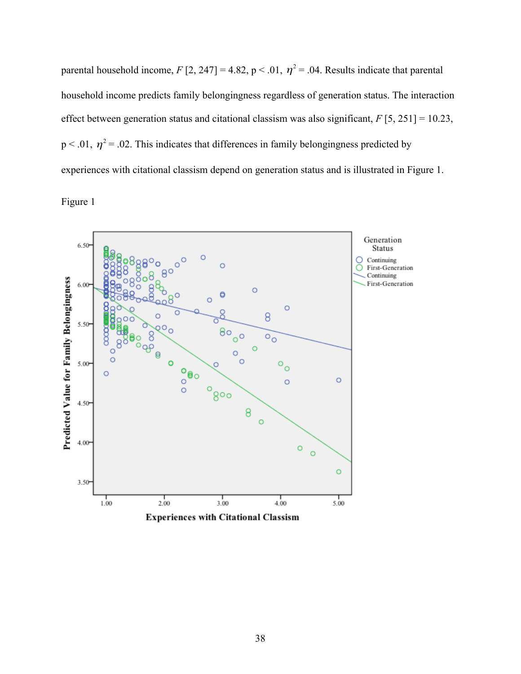parental household income,  $F[2, 247] = 4.82$ ,  $p < .01$ ,  $\eta^2 = .04$ . Results indicate that parental household income predicts family belongingness regardless of generation status. The interaction effect between generation status and citational classism was also significant, *F* [5, 251] = 10.23,  $p < .01$ ,  $\eta^2 = .02$ . This indicates that differences in family belongingness predicted by experiences with citational classism depend on generation status and is illustrated in Figure 1.

Figure 1



**Experiences with Citational Classism**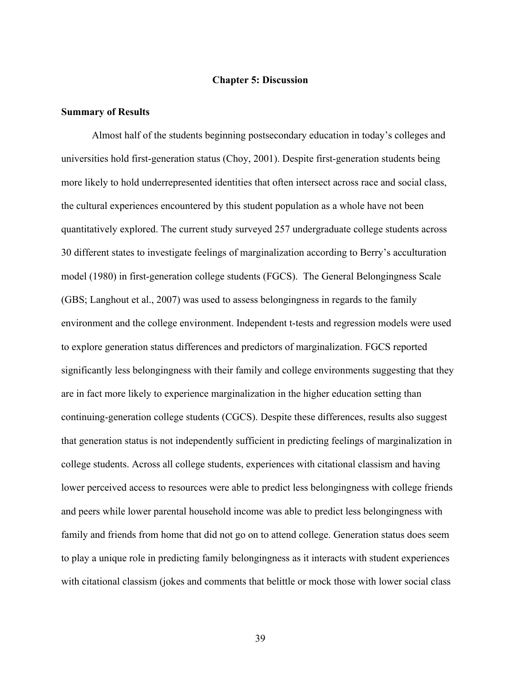#### **Chapter 5: Discussion**

#### **Summary of Results**

Almost half of the students beginning postsecondary education in today's colleges and universities hold first-generation status (Choy, 2001). Despite first-generation students being more likely to hold underrepresented identities that often intersect across race and social class, the cultural experiences encountered by this student population as a whole have not been quantitatively explored. The current study surveyed 257 undergraduate college students across 30 different states to investigate feelings of marginalization according to Berry's acculturation model (1980) in first-generation college students (FGCS). The General Belongingness Scale (GBS; Langhout et al., 2007) was used to assess belongingness in regards to the family environment and the college environment. Independent t-tests and regression models were used to explore generation status differences and predictors of marginalization. FGCS reported significantly less belongingness with their family and college environments suggesting that they are in fact more likely to experience marginalization in the higher education setting than continuing-generation college students (CGCS). Despite these differences, results also suggest that generation status is not independently sufficient in predicting feelings of marginalization in college students. Across all college students, experiences with citational classism and having lower perceived access to resources were able to predict less belongingness with college friends and peers while lower parental household income was able to predict less belongingness with family and friends from home that did not go on to attend college. Generation status does seem to play a unique role in predicting family belongingness as it interacts with student experiences with citational classism (jokes and comments that belittle or mock those with lower social class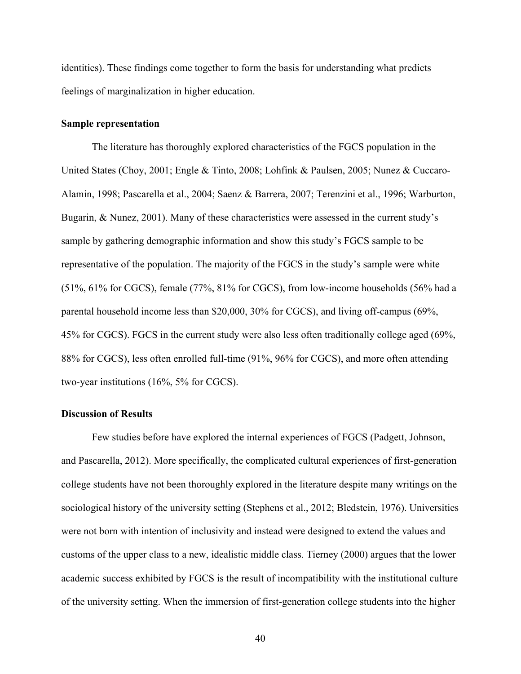identities). These findings come together to form the basis for understanding what predicts feelings of marginalization in higher education.

#### **Sample representation**

The literature has thoroughly explored characteristics of the FGCS population in the United States (Choy, 2001; Engle & Tinto, 2008; Lohfink & Paulsen, 2005; Nunez & Cuccaro-Alamin, 1998; Pascarella et al., 2004; Saenz & Barrera, 2007; Terenzini et al., 1996; Warburton, Bugarin, & Nunez, 2001). Many of these characteristics were assessed in the current study's sample by gathering demographic information and show this study's FGCS sample to be representative of the population. The majority of the FGCS in the study's sample were white (51%, 61% for CGCS), female (77%, 81% for CGCS), from low-income households (56% had a parental household income less than \$20,000, 30% for CGCS), and living off-campus (69%, 45% for CGCS). FGCS in the current study were also less often traditionally college aged (69%, 88% for CGCS), less often enrolled full-time (91%, 96% for CGCS), and more often attending two-year institutions (16%, 5% for CGCS).

## **Discussion of Results**

Few studies before have explored the internal experiences of FGCS (Padgett, Johnson, and Pascarella, 2012). More specifically, the complicated cultural experiences of first-generation college students have not been thoroughly explored in the literature despite many writings on the sociological history of the university setting (Stephens et al., 2012; Bledstein, 1976). Universities were not born with intention of inclusivity and instead were designed to extend the values and customs of the upper class to a new, idealistic middle class. Tierney (2000) argues that the lower academic success exhibited by FGCS is the result of incompatibility with the institutional culture of the university setting. When the immersion of first-generation college students into the higher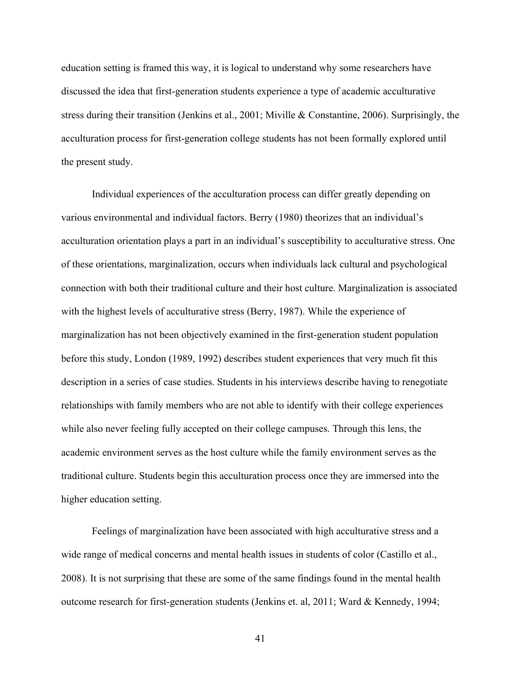education setting is framed this way, it is logical to understand why some researchers have discussed the idea that first-generation students experience a type of academic acculturative stress during their transition (Jenkins et al., 2001; Miville & Constantine, 2006). Surprisingly, the acculturation process for first-generation college students has not been formally explored until the present study.

Individual experiences of the acculturation process can differ greatly depending on various environmental and individual factors. Berry (1980) theorizes that an individual's acculturation orientation plays a part in an individual's susceptibility to acculturative stress. One of these orientations, marginalization, occurs when individuals lack cultural and psychological connection with both their traditional culture and their host culture. Marginalization is associated with the highest levels of acculturative stress (Berry, 1987). While the experience of marginalization has not been objectively examined in the first-generation student population before this study, London (1989, 1992) describes student experiences that very much fit this description in a series of case studies. Students in his interviews describe having to renegotiate relationships with family members who are not able to identify with their college experiences while also never feeling fully accepted on their college campuses. Through this lens, the academic environment serves as the host culture while the family environment serves as the traditional culture. Students begin this acculturation process once they are immersed into the higher education setting.

Feelings of marginalization have been associated with high acculturative stress and a wide range of medical concerns and mental health issues in students of color (Castillo et al., 2008). It is not surprising that these are some of the same findings found in the mental health outcome research for first-generation students (Jenkins et. al, 2011; Ward & Kennedy, 1994;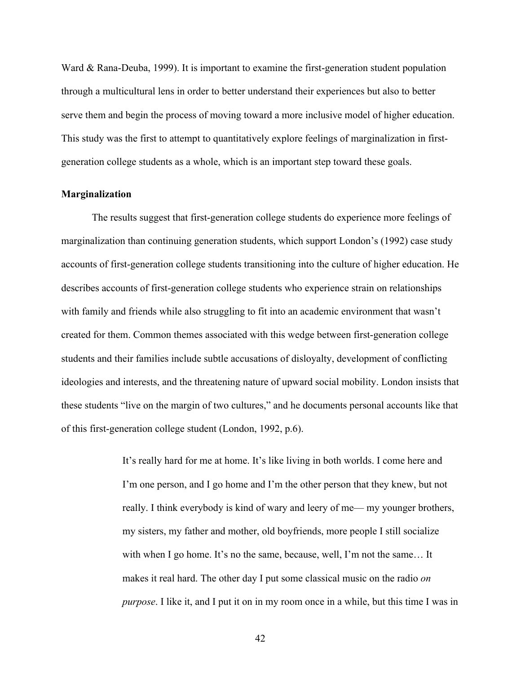Ward & Rana-Deuba, 1999). It is important to examine the first-generation student population through a multicultural lens in order to better understand their experiences but also to better serve them and begin the process of moving toward a more inclusive model of higher education. This study was the first to attempt to quantitatively explore feelings of marginalization in firstgeneration college students as a whole, which is an important step toward these goals.

#### **Marginalization**

The results suggest that first-generation college students do experience more feelings of marginalization than continuing generation students, which support London's (1992) case study accounts of first-generation college students transitioning into the culture of higher education. He describes accounts of first-generation college students who experience strain on relationships with family and friends while also struggling to fit into an academic environment that wasn't created for them. Common themes associated with this wedge between first-generation college students and their families include subtle accusations of disloyalty, development of conflicting ideologies and interests, and the threatening nature of upward social mobility. London insists that these students "live on the margin of two cultures," and he documents personal accounts like that of this first-generation college student (London, 1992, p.6).

> It's really hard for me at home. It's like living in both worlds. I come here and I'm one person, and I go home and I'm the other person that they knew, but not really. I think everybody is kind of wary and leery of me— my younger brothers, my sisters, my father and mother, old boyfriends, more people I still socialize with when I go home. It's no the same, because, well, I'm not the same... It makes it real hard. The other day I put some classical music on the radio *on purpose*. I like it, and I put it on in my room once in a while, but this time I was in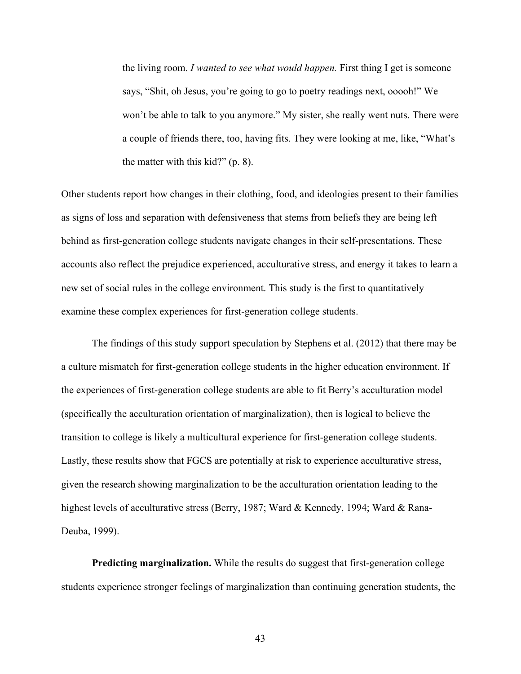the living room. *I wanted to see what would happen.* First thing I get is someone says, "Shit, oh Jesus, you're going to go to poetry readings next, ooooh!" We won't be able to talk to you anymore." My sister, she really went nuts. There were a couple of friends there, too, having fits. They were looking at me, like, "What's the matter with this kid?" (p. 8).

Other students report how changes in their clothing, food, and ideologies present to their families as signs of loss and separation with defensiveness that stems from beliefs they are being left behind as first-generation college students navigate changes in their self-presentations. These accounts also reflect the prejudice experienced, acculturative stress, and energy it takes to learn a new set of social rules in the college environment. This study is the first to quantitatively examine these complex experiences for first-generation college students.

The findings of this study support speculation by Stephens et al. (2012) that there may be a culture mismatch for first-generation college students in the higher education environment. If the experiences of first-generation college students are able to fit Berry's acculturation model (specifically the acculturation orientation of marginalization), then is logical to believe the transition to college is likely a multicultural experience for first-generation college students. Lastly, these results show that FGCS are potentially at risk to experience acculturative stress, given the research showing marginalization to be the acculturation orientation leading to the highest levels of acculturative stress (Berry, 1987; Ward & Kennedy, 1994; Ward & Rana-Deuba, 1999).

**Predicting marginalization.** While the results do suggest that first-generation college students experience stronger feelings of marginalization than continuing generation students, the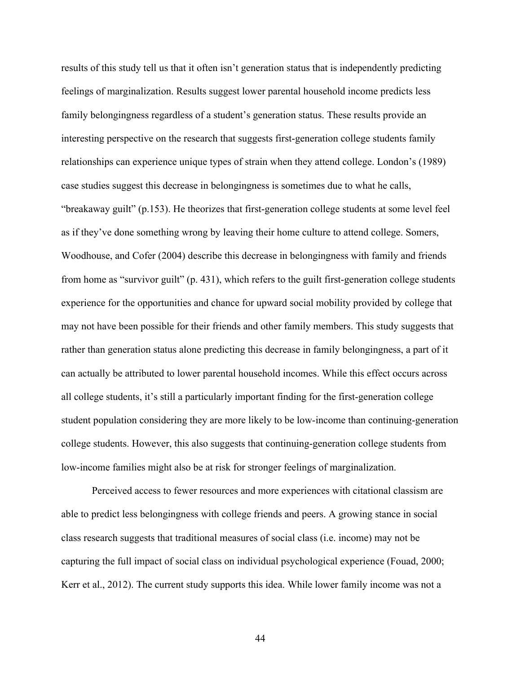results of this study tell us that it often isn't generation status that is independently predicting feelings of marginalization. Results suggest lower parental household income predicts less family belongingness regardless of a student's generation status. These results provide an interesting perspective on the research that suggests first-generation college students family relationships can experience unique types of strain when they attend college. London's (1989) case studies suggest this decrease in belongingness is sometimes due to what he calls, "breakaway guilt" (p.153). He theorizes that first-generation college students at some level feel as if they've done something wrong by leaving their home culture to attend college. Somers, Woodhouse, and Cofer (2004) describe this decrease in belongingness with family and friends from home as "survivor guilt" (p. 431), which refers to the guilt first-generation college students experience for the opportunities and chance for upward social mobility provided by college that may not have been possible for their friends and other family members. This study suggests that rather than generation status alone predicting this decrease in family belongingness, a part of it can actually be attributed to lower parental household incomes. While this effect occurs across all college students, it's still a particularly important finding for the first-generation college student population considering they are more likely to be low-income than continuing-generation college students. However, this also suggests that continuing-generation college students from low-income families might also be at risk for stronger feelings of marginalization.

Perceived access to fewer resources and more experiences with citational classism are able to predict less belongingness with college friends and peers. A growing stance in social class research suggests that traditional measures of social class (i.e. income) may not be capturing the full impact of social class on individual psychological experience (Fouad, 2000; Kerr et al., 2012). The current study supports this idea. While lower family income was not a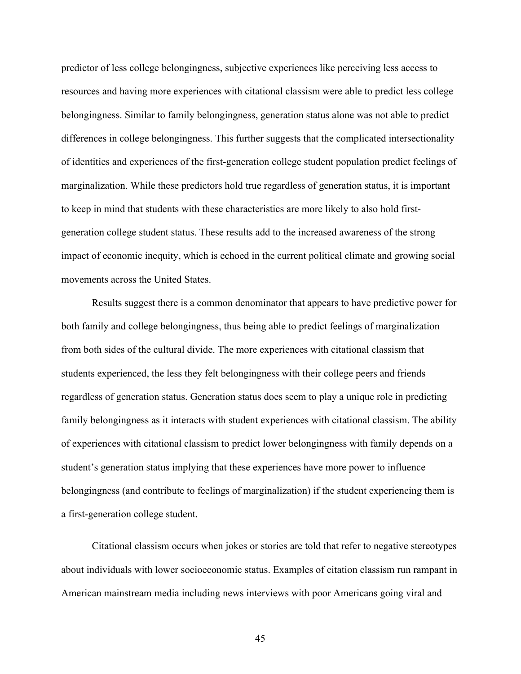predictor of less college belongingness, subjective experiences like perceiving less access to resources and having more experiences with citational classism were able to predict less college belongingness. Similar to family belongingness, generation status alone was not able to predict differences in college belongingness. This further suggests that the complicated intersectionality of identities and experiences of the first-generation college student population predict feelings of marginalization. While these predictors hold true regardless of generation status, it is important to keep in mind that students with these characteristics are more likely to also hold firstgeneration college student status. These results add to the increased awareness of the strong impact of economic inequity, which is echoed in the current political climate and growing social movements across the United States.

Results suggest there is a common denominator that appears to have predictive power for both family and college belongingness, thus being able to predict feelings of marginalization from both sides of the cultural divide. The more experiences with citational classism that students experienced, the less they felt belongingness with their college peers and friends regardless of generation status. Generation status does seem to play a unique role in predicting family belongingness as it interacts with student experiences with citational classism. The ability of experiences with citational classism to predict lower belongingness with family depends on a student's generation status implying that these experiences have more power to influence belongingness (and contribute to feelings of marginalization) if the student experiencing them is a first-generation college student.

Citational classism occurs when jokes or stories are told that refer to negative stereotypes about individuals with lower socioeconomic status. Examples of citation classism run rampant in American mainstream media including news interviews with poor Americans going viral and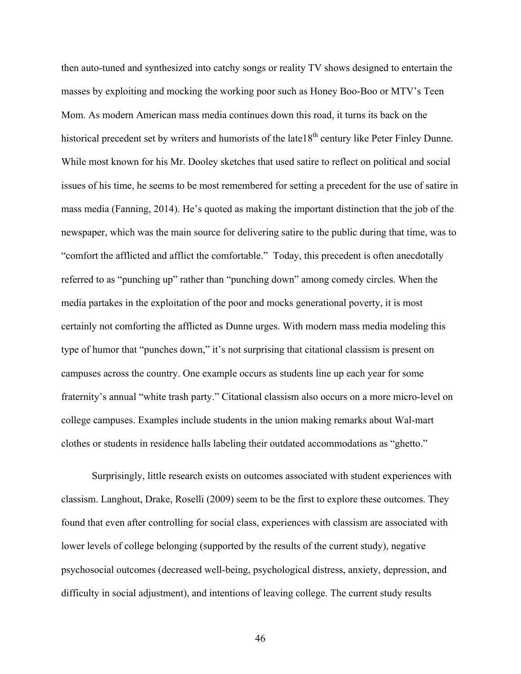then auto-tuned and synthesized into catchy songs or reality TV shows designed to entertain the masses by exploiting and mocking the working poor such as Honey Boo-Boo or MTV's Teen Mom. As modern American mass media continues down this road, it turns its back on the historical precedent set by writers and humorists of the late18<sup>th</sup> century like Peter Finley Dunne. While most known for his Mr. Dooley sketches that used satire to reflect on political and social issues of his time, he seems to be most remembered for setting a precedent for the use of satire in mass media (Fanning, 2014). He's quoted as making the important distinction that the job of the newspaper, which was the main source for delivering satire to the public during that time, was to "comfort the afflicted and afflict the comfortable." Today, this precedent is often anecdotally referred to as "punching up" rather than "punching down" among comedy circles. When the media partakes in the exploitation of the poor and mocks generational poverty, it is most certainly not comforting the afflicted as Dunne urges. With modern mass media modeling this type of humor that "punches down," it's not surprising that citational classism is present on campuses across the country. One example occurs as students line up each year for some fraternity's annual "white trash party." Citational classism also occurs on a more micro-level on college campuses. Examples include students in the union making remarks about Wal-mart clothes or students in residence halls labeling their outdated accommodations as "ghetto."

Surprisingly, little research exists on outcomes associated with student experiences with classism. Langhout, Drake, Roselli (2009) seem to be the first to explore these outcomes. They found that even after controlling for social class, experiences with classism are associated with lower levels of college belonging (supported by the results of the current study), negative psychosocial outcomes (decreased well-being, psychological distress, anxiety, depression, and difficulty in social adjustment), and intentions of leaving college. The current study results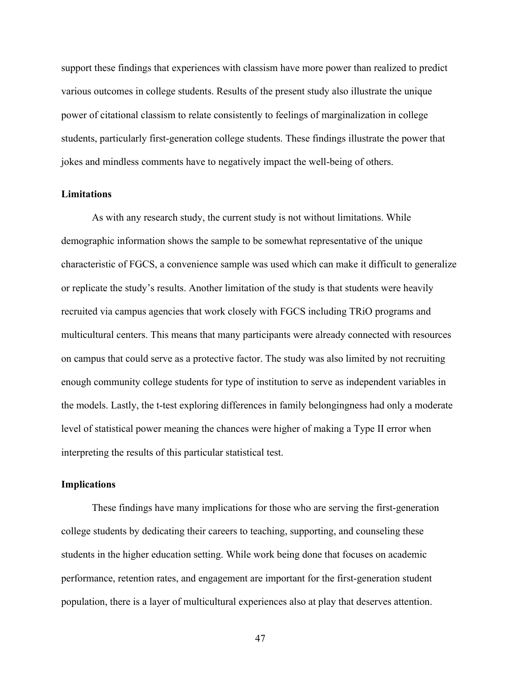support these findings that experiences with classism have more power than realized to predict various outcomes in college students. Results of the present study also illustrate the unique power of citational classism to relate consistently to feelings of marginalization in college students, particularly first-generation college students. These findings illustrate the power that jokes and mindless comments have to negatively impact the well-being of others.

#### **Limitations**

As with any research study, the current study is not without limitations. While demographic information shows the sample to be somewhat representative of the unique characteristic of FGCS, a convenience sample was used which can make it difficult to generalize or replicate the study's results. Another limitation of the study is that students were heavily recruited via campus agencies that work closely with FGCS including TRiO programs and multicultural centers. This means that many participants were already connected with resources on campus that could serve as a protective factor. The study was also limited by not recruiting enough community college students for type of institution to serve as independent variables in the models. Lastly, the t-test exploring differences in family belongingness had only a moderate level of statistical power meaning the chances were higher of making a Type II error when interpreting the results of this particular statistical test.

#### **Implications**

These findings have many implications for those who are serving the first-generation college students by dedicating their careers to teaching, supporting, and counseling these students in the higher education setting. While work being done that focuses on academic performance, retention rates, and engagement are important for the first-generation student population, there is a layer of multicultural experiences also at play that deserves attention.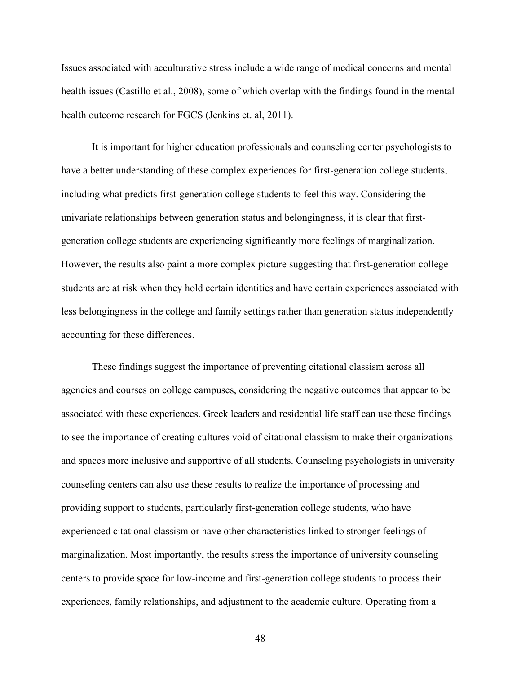Issues associated with acculturative stress include a wide range of medical concerns and mental health issues (Castillo et al., 2008), some of which overlap with the findings found in the mental health outcome research for FGCS (Jenkins et. al, 2011).

It is important for higher education professionals and counseling center psychologists to have a better understanding of these complex experiences for first-generation college students, including what predicts first-generation college students to feel this way. Considering the univariate relationships between generation status and belongingness, it is clear that firstgeneration college students are experiencing significantly more feelings of marginalization. However, the results also paint a more complex picture suggesting that first-generation college students are at risk when they hold certain identities and have certain experiences associated with less belongingness in the college and family settings rather than generation status independently accounting for these differences.

These findings suggest the importance of preventing citational classism across all agencies and courses on college campuses, considering the negative outcomes that appear to be associated with these experiences. Greek leaders and residential life staff can use these findings to see the importance of creating cultures void of citational classism to make their organizations and spaces more inclusive and supportive of all students. Counseling psychologists in university counseling centers can also use these results to realize the importance of processing and providing support to students, particularly first-generation college students, who have experienced citational classism or have other characteristics linked to stronger feelings of marginalization. Most importantly, the results stress the importance of university counseling centers to provide space for low-income and first-generation college students to process their experiences, family relationships, and adjustment to the academic culture. Operating from a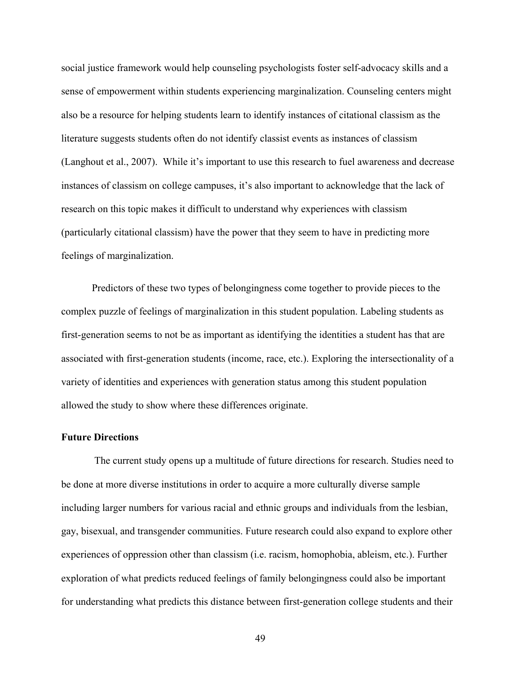social justice framework would help counseling psychologists foster self-advocacy skills and a sense of empowerment within students experiencing marginalization. Counseling centers might also be a resource for helping students learn to identify instances of citational classism as the literature suggests students often do not identify classist events as instances of classism (Langhout et al., 2007). While it's important to use this research to fuel awareness and decrease instances of classism on college campuses, it's also important to acknowledge that the lack of research on this topic makes it difficult to understand why experiences with classism (particularly citational classism) have the power that they seem to have in predicting more feelings of marginalization.

Predictors of these two types of belongingness come together to provide pieces to the complex puzzle of feelings of marginalization in this student population. Labeling students as first-generation seems to not be as important as identifying the identities a student has that are associated with first-generation students (income, race, etc.). Exploring the intersectionality of a variety of identities and experiences with generation status among this student population allowed the study to show where these differences originate.

### **Future Directions**

The current study opens up a multitude of future directions for research. Studies need to be done at more diverse institutions in order to acquire a more culturally diverse sample including larger numbers for various racial and ethnic groups and individuals from the lesbian, gay, bisexual, and transgender communities. Future research could also expand to explore other experiences of oppression other than classism (i.e. racism, homophobia, ableism, etc.). Further exploration of what predicts reduced feelings of family belongingness could also be important for understanding what predicts this distance between first-generation college students and their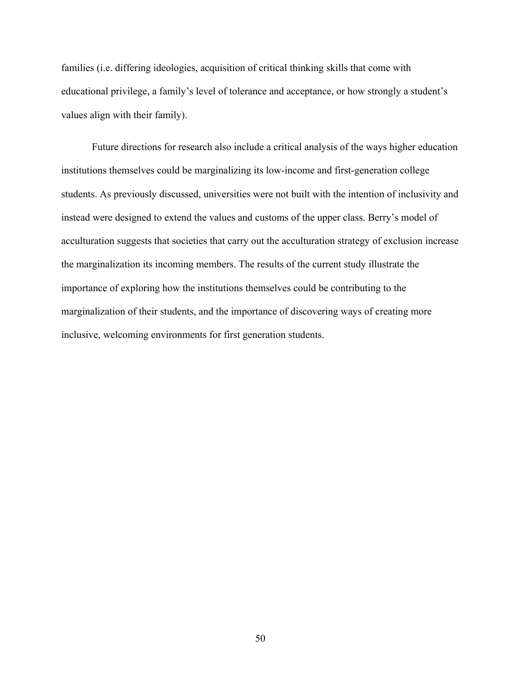families (i.e. differing ideologies, acquisition of critical thinking skills that come with educational privilege, a family's level of tolerance and acceptance, or how strongly a student's values align with their family).

Future directions for research also include a critical analysis of the ways higher education institutions themselves could be marginalizing its low-income and first-generation college students. As previously discussed, universities were not built with the intention of inclusivity and instead were designed to extend the values and customs of the upper class. Berry's model of acculturation suggests that societies that carry out the acculturation strategy of exclusion increase the marginalization its incoming members. The results of the current study illustrate the importance of exploring how the institutions themselves could be contributing to the marginalization of their students, and the importance of discovering ways of creating more inclusive, welcoming environments for first generation students.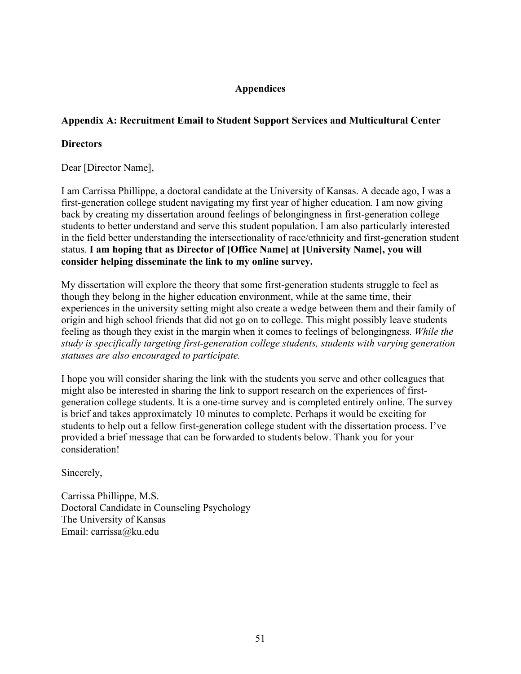# **Appendices**

## **Appendix A: Recruitment Email to Student Support Services and Multicultural Center**

## **Directors**

Dear [Director Name],

I am Carrissa Phillippe, a doctoral candidate at the University of Kansas. A decade ago, I was a first-generation college student navigating my first year of higher education. I am now giving back by creating my dissertation around feelings of belongingness in first-generation college students to better understand and serve this student population. I am also particularly interested in the field better understanding the intersectionality of race/ethnicity and first-generation student status. **I am hoping that as Director of [Office Name] at [University Name], you will consider helping disseminate the link to my online survey.**

My dissertation will explore the theory that some first-generation students struggle to feel as though they belong in the higher education environment, while at the same time, their experiences in the university setting might also create a wedge between them and their family of origin and high school friends that did not go on to college. This might possibly leave students feeling as though they exist in the margin when it comes to feelings of belongingness. *While the study is specifically targeting first-generation college students, students with varying generation statuses are also encouraged to participate.*

I hope you will consider sharing the link with the students you serve and other colleagues that might also be interested in sharing the link to support research on the experiences of firstgeneration college students. It is a one-time survey and is completed entirely online. The survey is brief and takes approximately 10 minutes to complete. Perhaps it would be exciting for students to help out a fellow first-generation college student with the dissertation process. I've provided a brief message that can be forwarded to students below. Thank you for your consideration!

Sincerely,

Carrissa Phillippe, M.S. Doctoral Candidate in Counseling Psychology The University of Kansas Email: carrissa@ku.edu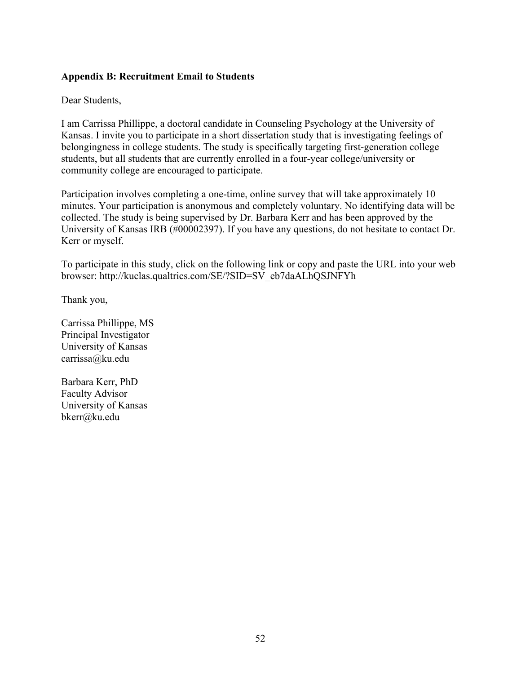## **Appendix B: Recruitment Email to Students**

Dear Students,

I am Carrissa Phillippe, a doctoral candidate in Counseling Psychology at the University of Kansas. I invite you to participate in a short dissertation study that is investigating feelings of belongingness in college students. The study is specifically targeting first-generation college students, but all students that are currently enrolled in a four-year college/university or community college are encouraged to participate.

Participation involves completing a one-time, online survey that will take approximately 10 minutes. Your participation is anonymous and completely voluntary. No identifying data will be collected. The study is being supervised by Dr. Barbara Kerr and has been approved by the University of Kansas IRB (#00002397). If you have any questions, do not hesitate to contact Dr. Kerr or myself.

To participate in this study, click on the following link or copy and paste the URL into your web browser: http://kuclas.qualtrics.com/SE/?SID=SV\_eb7daALhQSJNFYh

Thank you,

Carrissa Phillippe, MS Principal Investigator University of Kansas carrissa@ku.edu

Barbara Kerr, PhD Faculty Advisor University of Kansas bkerr@ku.edu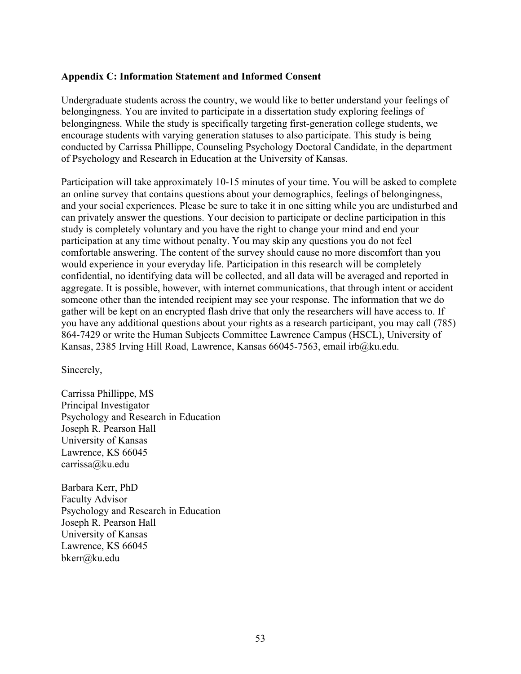### **Appendix C: Information Statement and Informed Consent**

Undergraduate students across the country, we would like to better understand your feelings of belongingness. You are invited to participate in a dissertation study exploring feelings of belongingness. While the study is specifically targeting first-generation college students, we encourage students with varying generation statuses to also participate. This study is being conducted by Carrissa Phillippe, Counseling Psychology Doctoral Candidate, in the department of Psychology and Research in Education at the University of Kansas.

Participation will take approximately 10-15 minutes of your time. You will be asked to complete an online survey that contains questions about your demographics, feelings of belongingness, and your social experiences. Please be sure to take it in one sitting while you are undisturbed and can privately answer the questions. Your decision to participate or decline participation in this study is completely voluntary and you have the right to change your mind and end your participation at any time without penalty. You may skip any questions you do not feel comfortable answering. The content of the survey should cause no more discomfort than you would experience in your everyday life. Participation in this research will be completely confidential, no identifying data will be collected, and all data will be averaged and reported in aggregate. It is possible, however, with internet communications, that through intent or accident someone other than the intended recipient may see your response. The information that we do gather will be kept on an encrypted flash drive that only the researchers will have access to. If you have any additional questions about your rights as a research participant, you may call (785) 864-7429 or write the Human Subjects Committee Lawrence Campus (HSCL), University of Kansas, 2385 Irving Hill Road, Lawrence, Kansas 66045-7563, email irb@ku.edu.

Sincerely,

Carrissa Phillippe, MS Principal Investigator Psychology and Research in Education Joseph R. Pearson Hall University of Kansas Lawrence, KS 66045 carrissa@ku.edu

Barbara Kerr, PhD Faculty Advisor Psychology and Research in Education Joseph R. Pearson Hall University of Kansas Lawrence, KS 66045 bkerr@ku.edu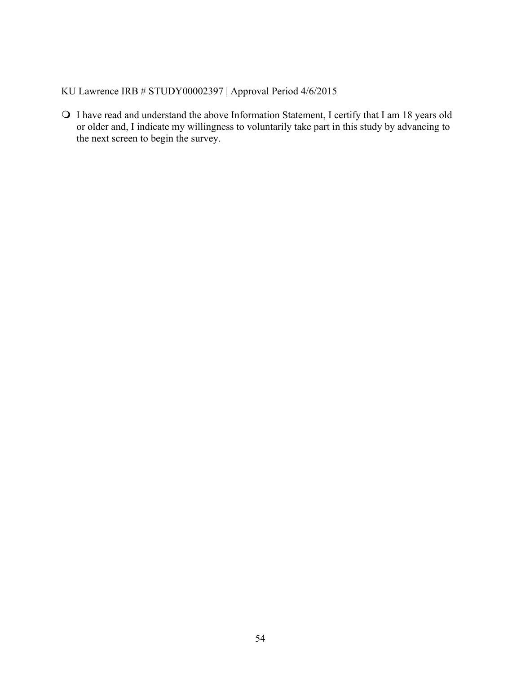KU Lawrence IRB # STUDY00002397 | Approval Period 4/6/2015

! I have read and understand the above Information Statement, I certify that I am 18 years old or older and, I indicate my willingness to voluntarily take part in this study by advancing to the next screen to begin the survey.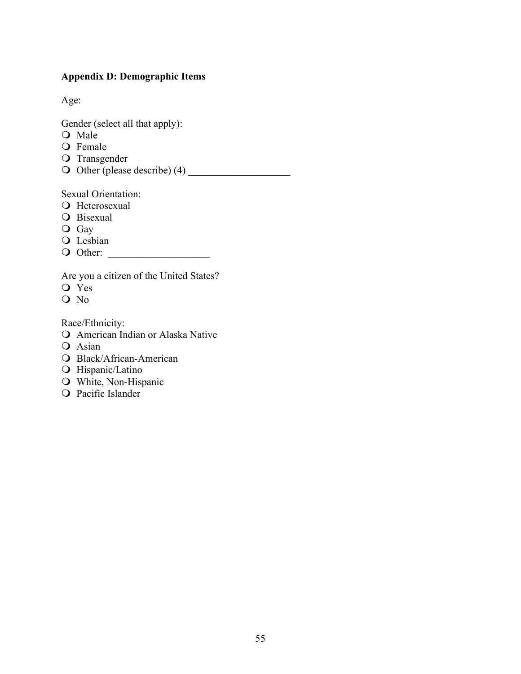# **Appendix D: Demographic Items**

Age:

Gender (select all that apply):

- O Male
- O Female
- O Transgender
- ! Other (please describe) (4) \_\_\_\_\_\_\_\_\_\_\_\_\_\_\_\_\_\_\_\_

Sexual Orientation:

- **O** Heterosexual
- **O** Bisexual
- O Gay
- O Lesbian
- ! Other: \_\_\_\_\_\_\_\_\_\_\_\_\_\_\_\_\_\_\_\_

Are you a citizen of the United States?

- O Yes
- O No

Race/Ethnicity:

- **Q** American Indian or Alaska Native
- O Asian
- O Black/African-American
- O Hispanic/Latino
- O White, Non-Hispanic
- O Pacific Islander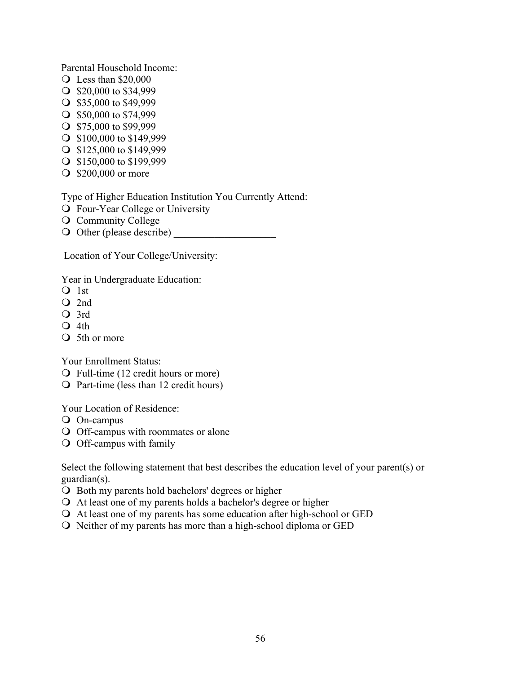Parental Household Income:

- $\bigcirc$  Less than \$20,000
- $\bigcirc$  \$20,000 to \$34,999
- $\bigcirc$  \$35,000 to \$49,999
- $\bigcirc$  \$50,000 to \$74,999
- $\bigcirc$  \$75,000 to \$99,999
- $\bigcirc$  \$100,000 to \$149,999
- $\bigcirc$  \$125,000 to \$149,999
- $\bigcirc$  \$150,000 to \$199,999
- **\$200,000 or more**

Type of Higher Education Institution You Currently Attend:

- **Q** Four-Year College or University
- O Community College
- O Other (please describe)

Location of Your College/University:

Year in Undergraduate Education:

- $Q$  1st
- O 2nd
- O 3rd
- $\Omega$  4th
- O 5th or more

Your Enrollment Status:

- ! Full-time (12 credit hours or more)
- ! Part-time (less than 12 credit hours)

Your Location of Residence:

- O On-campus
- O Off-campus with roommates or alone
- O Off-campus with family

Select the following statement that best describes the education level of your parent(s) or guardian(s).

- O Both my parents hold bachelors' degrees or higher
- ! At least one of my parents holds a bachelor's degree or higher
- ! At least one of my parents has some education after high-school or GED
- ! Neither of my parents has more than a high-school diploma or GED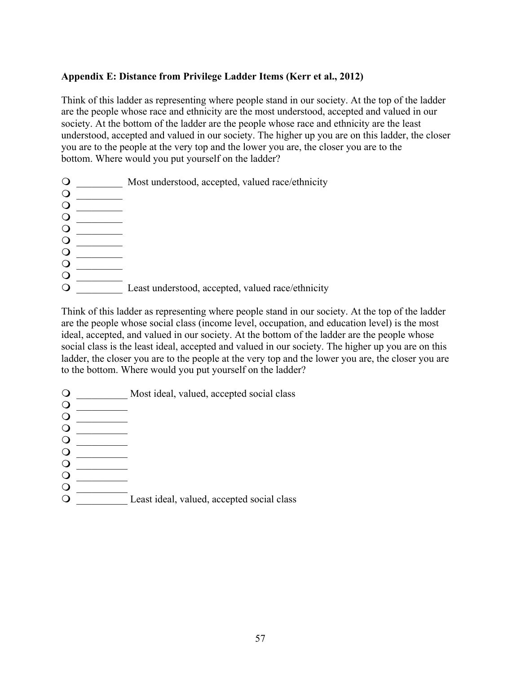## **Appendix E: Distance from Privilege Ladder Items (Kerr et al., 2012)**

Think of this ladder as representing where people stand in our society. At the top of the ladder are the people whose race and ethnicity are the most understood, accepted and valued in our society. At the bottom of the ladder are the people whose race and ethnicity are the least understood, accepted and valued in our society. The higher up you are on this ladder, the closer you are to the people at the very top and the lower you are, the closer you are to the bottom. Where would you put yourself on the ladder?

O Most understood, accepted, valued race/ethnicity  $\circ$ 

 $\bigcirc$  $\overline{Q}$  Least understood, accepted, valued race/ethnicity

Think of this ladder as representing where people stand in our society. At the top of the ladder are the people whose social class (income level, occupation, and education level) is the most ideal, accepted, and valued in our society. At the bottom of the ladder are the people whose social class is the least ideal, accepted and valued in our society. The higher up you are on this ladder, the closer you are to the people at the very top and the lower you are, the closer you are to the bottom. Where would you put yourself on the ladder?

- O Most ideal, valued, accepted social class
- $\begin{picture}(150,10) \put(0,0){\line(1,0){10}} \put(15,0){\line(1,0){10}} \put(15,0){\line(1,0){10}} \put(15,0){\line(1,0){10}} \put(15,0){\line(1,0){10}} \put(15,0){\line(1,0){10}} \put(15,0){\line(1,0){10}} \put(15,0){\line(1,0){10}} \put(15,0){\line(1,0){10}} \put(15,0){\line(1,0){10}} \put(15,0){\line(1,0){10}} \put(15,0){\line($ ! \_\_\_\_\_\_\_\_\_\_

 $\begin{array}{c} \n\mathbf{O} & \longrightarrow \\ \n\mathbf{O} & \longrightarrow \\ \n\mathbf{O} & \longrightarrow \\ \n\end{array}$ ! \_\_\_\_\_\_\_\_\_

! \_\_\_\_\_\_\_\_\_

 $\bigcirc$ 

 $\bigcirc$  $\bigcirc$ 

- $\circ$
- ! \_\_\_\_\_\_\_\_\_\_
- ! \_\_\_\_\_\_\_\_\_\_
- ! \_\_\_\_\_\_\_\_\_\_
- $\bigcirc$  $\bigcirc$
- $\circ$  [Least ideal, valued, accepted social class]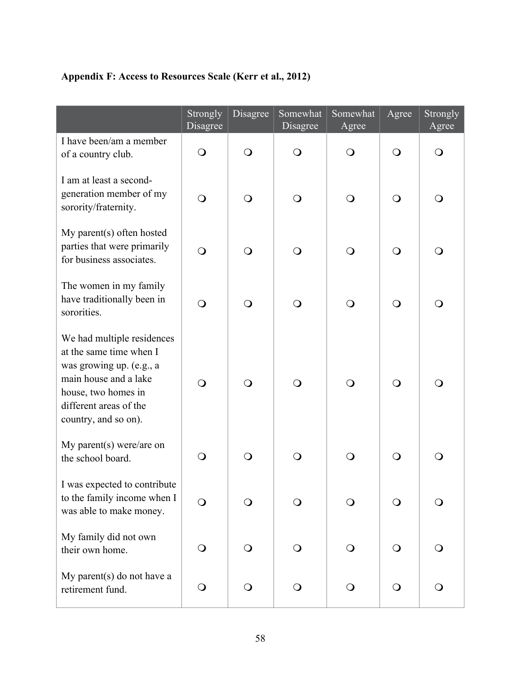# **Appendix F: Access to Resources Scale (Kerr et al., 2012)**

|                                                                                                                                                                                     | Strongly<br>Disagree | Disagree       | Somewhat<br>Disagree | Somewhat<br>Agree | Agree        | Strongly<br>Agree |
|-------------------------------------------------------------------------------------------------------------------------------------------------------------------------------------|----------------------|----------------|----------------------|-------------------|--------------|-------------------|
| I have been/am a member<br>of a country club.                                                                                                                                       | $\bigcirc$           | $\bigcirc$     | $\bigcirc$           | $\circ$           | $\mathbf{O}$ | $\mathbf O$       |
| I am at least a second-<br>generation member of my<br>sorority/fraternity.                                                                                                          | $\bigcirc$           | $\bigcirc$     | $\bigcirc$           | $\bigcirc$        | $\bigcirc$   | $\bigcirc$        |
| My parent(s) often hosted<br>parties that were primarily<br>for business associates.                                                                                                | $\bigcirc$           | $\bigcirc$     | $\bigcirc$           | $\bigcirc$        | $\Omega$     | $\bigcirc$        |
| The women in my family<br>have traditionally been in<br>sororities.                                                                                                                 | $\bigcirc$           | $\bigcirc$     | $\bigcirc$           | O                 | $\circ$      | $\bigcirc$        |
| We had multiple residences<br>at the same time when I<br>was growing up. (e.g., a<br>main house and a lake<br>house, two homes in<br>different areas of the<br>country, and so on). | $\bigcirc$           | $\bigcirc$     | $\bigcirc$           | $\bigcirc$        | $\bigcirc$   | $\bigcirc$        |
| My parent(s) were/are on<br>the school board.                                                                                                                                       | $\Omega$             | $\bigcirc$     | $\bigcirc$           | O                 | $\Omega$     | O                 |
| I was expected to contribute<br>to the family income when I<br>was able to make money.                                                                                              | $\Omega$             | $\overline{O}$ | $\mathsf{O}$         |                   | $\Omega$     | $\bigcirc$        |
| My family did not own<br>their own home.                                                                                                                                            | $\bigcirc$           | $\bigcirc$     | $\bigcirc$           | $\Omega$          | $\Omega$     | $\bigcirc$        |
| My parent(s) do not have a<br>retirement fund.                                                                                                                                      | $\bigcirc$           | $\bigcirc$     | $\bigcirc$           | $\bigcirc$        | $\bigcirc$   | $\bigcirc$        |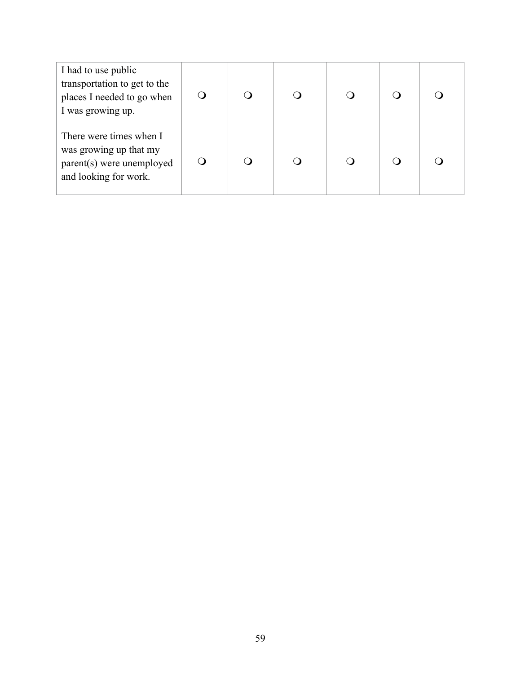| I had to use public<br>transportation to get to the<br>places I needed to go when<br>I was growing up.  | ∩        |  |  |  |
|---------------------------------------------------------------------------------------------------------|----------|--|--|--|
| There were times when I<br>was growing up that my<br>parent(s) were unemployed<br>and looking for work. | $\Omega$ |  |  |  |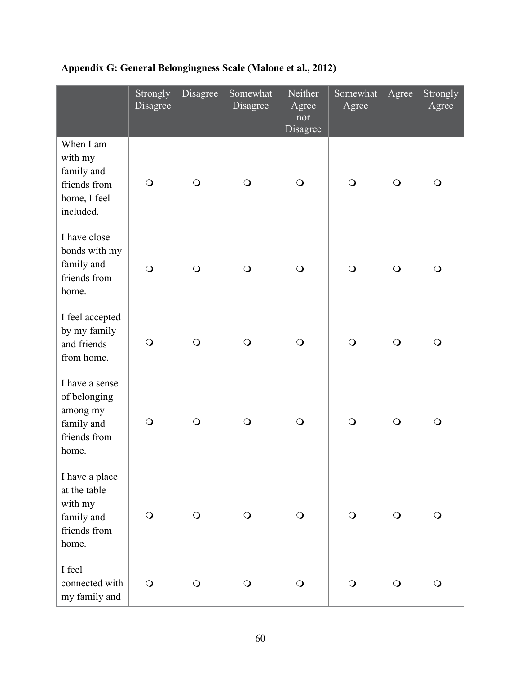|                                                                                   | Strongly<br>Disagree | Disagree   | Somewhat<br>Disagree | Neither<br>Agree<br>nor<br>Disagree | Somewhat<br>Agree | Agree      | Strongly<br>Agree |
|-----------------------------------------------------------------------------------|----------------------|------------|----------------------|-------------------------------------|-------------------|------------|-------------------|
| When I am<br>with my<br>family and<br>friends from<br>home, I feel<br>included.   | $\bigcirc$           | $\bigcirc$ | $\bigcirc$           | $\bigcirc$                          | $\bigcirc$        | $\bigcirc$ | $\bigcirc$        |
| I have close<br>bonds with my<br>family and<br>friends from<br>home.              | $\bigcirc$           | $\bigcirc$ | $\bigcirc$           | $\bigcirc$                          | $\bigcirc$        | $\bigcirc$ | $\bigcirc$        |
| I feel accepted<br>by my family<br>and friends<br>from home.                      | $\bigcirc$           | $\bigcirc$ | $\bigcirc$           | $\bigcirc$                          | $\bigcirc$        | $\bigcirc$ | $\bigcirc$        |
| I have a sense<br>of belonging<br>among my<br>family and<br>friends from<br>home. | $\bigcirc$           | $\bigcirc$ | $\bigcirc$           | $\bigcirc$                          | $\bigcirc$        | $\bigcirc$ | $\bigcirc$        |
| I have a place<br>at the table<br>with my<br>family and<br>friends from<br>home.  | $\bigcirc$           | $\bigcirc$ | $\bigcirc$           | $\bigcirc$                          | $\bigcirc$        | $\bigcirc$ | $\bigcirc$        |
| I feel<br>connected with<br>my family and                                         | $\bigcirc$           | $\Omega$   | $\bigcirc$           | $\bigcirc$                          | $\bigcirc$        | $\bigcirc$ | $\bigcirc$        |

# **Appendix G: General Belongingness Scale (Malone et al., 2012)**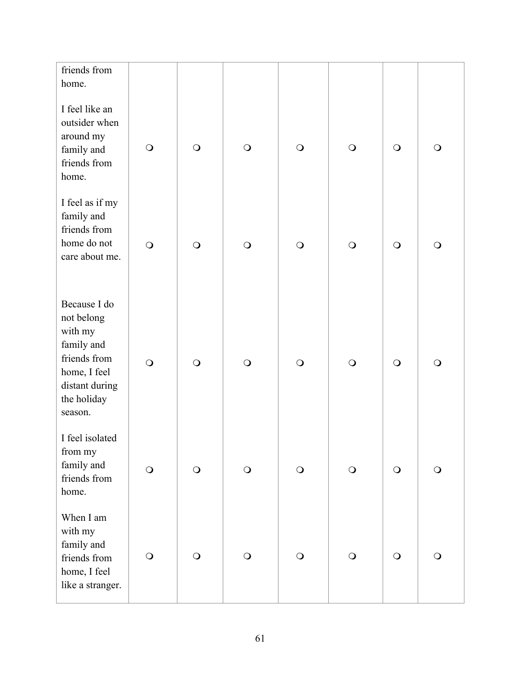| friends from<br>home.                                                                                                           |            |            |            |            |            |            |            |
|---------------------------------------------------------------------------------------------------------------------------------|------------|------------|------------|------------|------------|------------|------------|
| I feel like an<br>outsider when<br>around my<br>family and<br>friends from<br>home.                                             | $\bigcirc$ | $\bigcirc$ | $\bigcirc$ | $\bigcirc$ | $\bigcirc$ | $\bigcirc$ | $\bigcirc$ |
| I feel as if my<br>family and<br>friends from<br>home do not<br>care about me.                                                  | $\bigcirc$ | $\bigcirc$ | $\bigcirc$ | $\bigcirc$ | $\bigcirc$ | $\bigcirc$ | $\bigcirc$ |
| Because I do<br>not belong<br>with my<br>family and<br>friends from<br>home, I feel<br>distant during<br>the holiday<br>season. | $\bigcirc$ | $\bigcirc$ | $\bigcirc$ | $\bigcirc$ | $\bigcirc$ | $\bigcirc$ | $\bigcirc$ |
| I feel isolated<br>from my<br>family and<br>friends from<br>home.                                                               | $\bigcirc$ | $\bigcirc$ | $\bigcirc$ | $\bigcirc$ | $\bigcirc$ | $\bigcirc$ | $\bigcirc$ |
| When I am<br>with my<br>family and<br>friends from<br>home, I feel<br>like a stranger.                                          | $\bigcirc$ | $\bigcirc$ | $\bigcirc$ | $\bigcirc$ | $\bigcirc$ | $\bigcirc$ | $\bigcirc$ |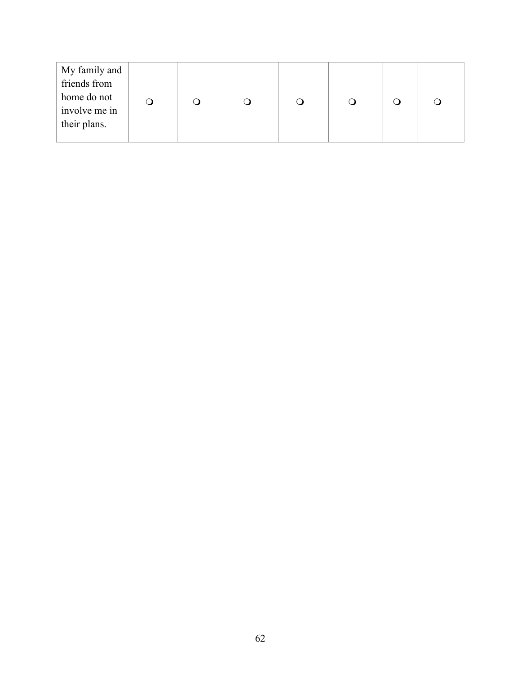| My family and                |  |  |  |  |
|------------------------------|--|--|--|--|
| friends from                 |  |  |  |  |
| home do not<br>involve me in |  |  |  |  |
| their plans.                 |  |  |  |  |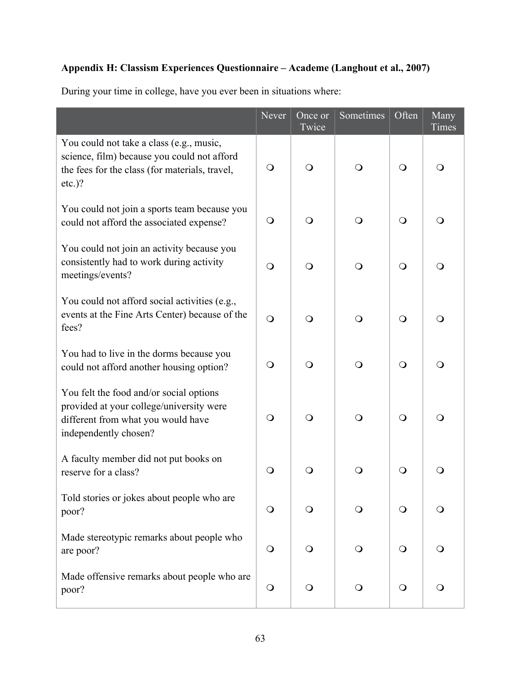# **Appendix H: Classism Experiences Questionnaire – Academe (Langhout et al., 2007)**

|                                                                                                                                                        | Ne <sub>ver</sub> | Once or<br>Twice | Sometimes    | Often        | Many<br>Times |
|--------------------------------------------------------------------------------------------------------------------------------------------------------|-------------------|------------------|--------------|--------------|---------------|
| You could not take a class (e.g., music,<br>science, film) because you could not afford<br>the fees for the class (for materials, travel,<br>$etc.$ )? | $\bigcirc$        | $\circ$          | $\mathsf{O}$ | $\circ$      | O             |
| You could not join a sports team because you<br>could not afford the associated expense?                                                               | $\bigcirc$        | Q                | $\bigcirc$   | $\bigcirc$   | Q             |
| You could not join an activity because you<br>consistently had to work during activity<br>meetings/events?                                             | $\bigcirc$        | $\Omega$         | $\bigcirc$   | $\bigcirc$   | $\Omega$      |
| You could not afford social activities (e.g.,<br>events at the Fine Arts Center) because of the<br>fees?                                               | $\bigcirc$        | Q                | $\bigcirc$   | $\circ$      | ∩             |
| You had to live in the dorms because you<br>could not afford another housing option?                                                                   | $\bigcirc$        | $\circ$          | $\bigcirc$   | $\circ$      | Q             |
| You felt the food and/or social options<br>provided at your college/university were<br>different from what you would have<br>independently chosen?     | $\bigcirc$        | $\bigcirc$       | $\bigcirc$   | $\bigcirc$   | $\bigcirc$    |
| A faculty member did not put books on<br>reserve for a class?                                                                                          | $\bigcirc$        | O                | Q            | $\mathsf{O}$ |               |
| Told stories or jokes about people who are<br>poor?                                                                                                    | $\bigcirc$        | $\mathsf{O}$     | $\circ$      | $\bigcirc$   | $\circ$       |
| Made stereotypic remarks about people who<br>are poor?                                                                                                 | $\bigcirc$        | $\mathsf{O}$     | $\circ$      | $\bigcirc$   | $\bigcirc$    |
| Made offensive remarks about people who are<br>poor?                                                                                                   | $\bigcirc$        | $\bigcirc$       | $\mathsf{O}$ | $\bigcirc$   | $\bigcirc$    |

During your time in college, have you ever been in situations where: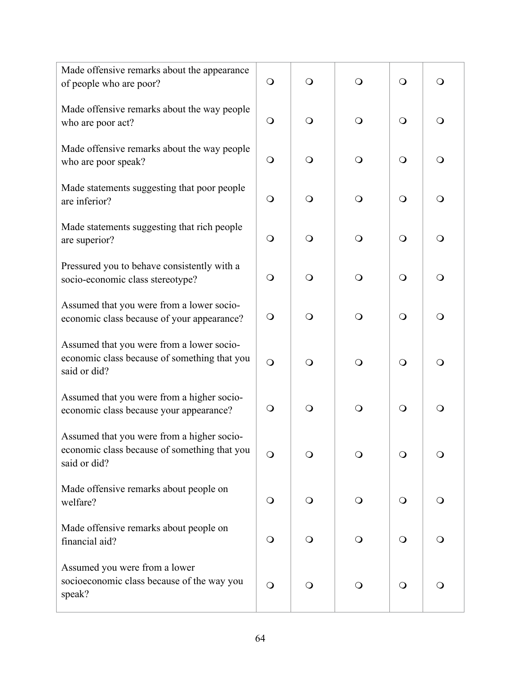| Made offensive remarks about the appearance<br>of people who are poor?                                     | $\bigcirc$ | $\bigcirc$   | $\bigcirc$   | $\bigcirc$ | $\bigcirc$ |
|------------------------------------------------------------------------------------------------------------|------------|--------------|--------------|------------|------------|
| Made offensive remarks about the way people<br>who are poor act?                                           | $\circ$    | $\bigcirc$   | $\bigcirc$   | $\bigcirc$ | $\bigcirc$ |
| Made offensive remarks about the way people<br>who are poor speak?                                         | $\bigcirc$ | $\bigcirc$   | $\bigcirc$   | $\bigcirc$ | $\bigcirc$ |
| Made statements suggesting that poor people<br>are inferior?                                               | $\bigcirc$ | $\bigcirc$   | $\bigcirc$   | $\bigcirc$ | $\bigcirc$ |
| Made statements suggesting that rich people<br>are superior?                                               | $\bigcirc$ | $\bigcirc$   | $\bigcirc$   | $\bigcirc$ | $\bigcirc$ |
| Pressured you to behave consistently with a<br>socio-economic class stereotype?                            | $\bigcirc$ | $\bigcirc$   | $\bigcirc$   | $\bigcirc$ | $\bigcirc$ |
| Assumed that you were from a lower socio-<br>economic class because of your appearance?                    | $\bigcirc$ | $\bigcirc$   | $\bigcirc$   | $\bigcirc$ | $\bigcirc$ |
| Assumed that you were from a lower socio-<br>economic class because of something that you<br>said or did?  | $\bigcirc$ | $\bigcirc$   | $\bigcirc$   | $\bigcirc$ | $\bigcirc$ |
| Assumed that you were from a higher socio-<br>economic class because your appearance?                      | $\circ$    | $\bigcirc$   | $\bigcirc$   | $\bigcirc$ | $\bigcirc$ |
| Assumed that you were from a higher socio-<br>economic class because of something that you<br>said or did? | $\bigcirc$ | $\bigcirc$   | $\mathsf{O}$ | $\bigcirc$ | O          |
| Made offensive remarks about people on<br>welfare?                                                         | $\bigcirc$ | $\bigcirc$   | $\circ$      | $\bigcirc$ | $\circ$    |
| Made offensive remarks about people on<br>financial aid?                                                   | $\bigcirc$ | $\mathsf{O}$ | $\mathbf{O}$ | $\circ$    | $\bigcirc$ |
| Assumed you were from a lower<br>socioeconomic class because of the way you<br>speak?                      | $\bigcirc$ | $\mathsf{O}$ | $\mathbf{O}$ | $\bigcirc$ | $\bigcirc$ |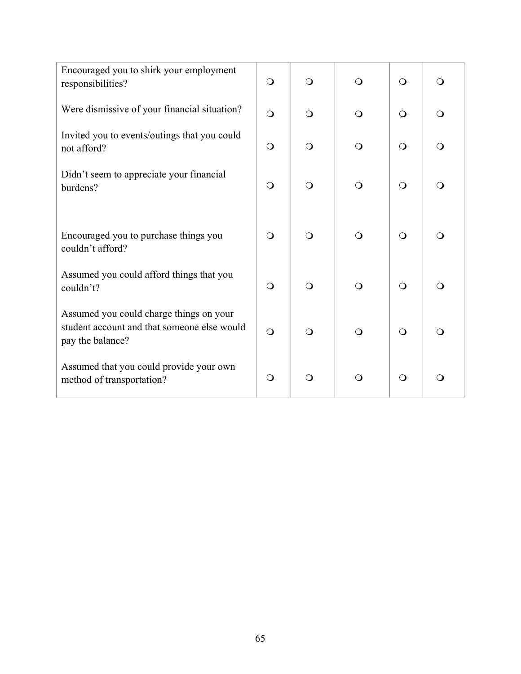| Encouraged you to shirk your employment<br>responsibilities?                                               | $\bigcirc$ | $\Omega$   | $\Omega$   | $\Omega$   | $\circ$    |
|------------------------------------------------------------------------------------------------------------|------------|------------|------------|------------|------------|
| Were dismissive of your financial situation?                                                               | $\bigcirc$ | $\bigcirc$ | $\Omega$   | $\Omega$   | $\bigcirc$ |
| Invited you to events/outings that you could<br>not afford?                                                | $\bigcirc$ | $\bigcirc$ | $\Omega$   | $\bigcirc$ | $\bigcirc$ |
| Didn't seem to appreciate your financial<br>burdens?                                                       | $\circ$    | $\bigcirc$ | $\circ$    | $\bigcirc$ | $\bigcirc$ |
| Encouraged you to purchase things you<br>couldn't afford?                                                  | $\circ$    | $\bigcirc$ | $\bigcirc$ | $\bigcirc$ | $\bigcirc$ |
| Assumed you could afford things that you<br>couldn't?                                                      | $\circ$    | $\bigcirc$ | $\bigcirc$ | $\bigcirc$ | $\bigcirc$ |
| Assumed you could charge things on your<br>student account and that someone else would<br>pay the balance? | $\bigcirc$ | $\bigcirc$ | $\Omega$   | $\Omega$   | $\bigcirc$ |
| Assumed that you could provide your own<br>method of transportation?                                       | $\bigcirc$ | Q          | ∩          | $\bigcirc$ | $\bigcirc$ |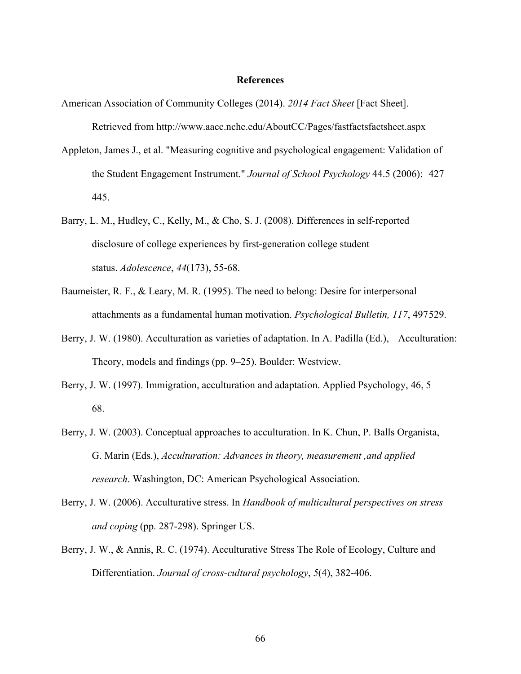#### **References**

- American Association of Community Colleges (2014). *2014 Fact Sheet* [Fact Sheet]. Retrieved from http://www.aacc.nche.edu/AboutCC/Pages/fastfactsfactsheet.aspx
- Appleton, James J., et al. "Measuring cognitive and psychological engagement: Validation of the Student Engagement Instrument." *Journal of School Psychology* 44.5 (2006): 427 445.
- Barry, L. M., Hudley, C., Kelly, M., & Cho, S. J. (2008). Differences in self-reported disclosure of college experiences by first-generation college student status. *Adolescence*, *44*(173), 55-68.
- Baumeister, R. F., & Leary, M. R. (1995). The need to belong: Desire for interpersonal attachments as a fundamental human motivation. *Psychological Bulletin, 117*, 497529.
- Berry, J. W. (1980). Acculturation as varieties of adaptation. In A. Padilla (Ed.), Acculturation: Theory, models and findings (pp. 9–25). Boulder: Westview.
- Berry, J. W. (1997). Immigration, acculturation and adaptation. Applied Psychology, 46, 5 68.
- Berry, J. W. (2003). Conceptual approaches to acculturation. In K. Chun, P. Balls Organista, G. Marin (Eds.), *Acculturation: Advances in theory, measurement ,and applied research*. Washington, DC: American Psychological Association.
- Berry, J. W. (2006). Acculturative stress. In *Handbook of multicultural perspectives on stress and coping* (pp. 287-298). Springer US.
- Berry, J. W., & Annis, R. C. (1974). Acculturative Stress The Role of Ecology, Culture and Differentiation. *Journal of cross-cultural psychology*, *5*(4), 382-406.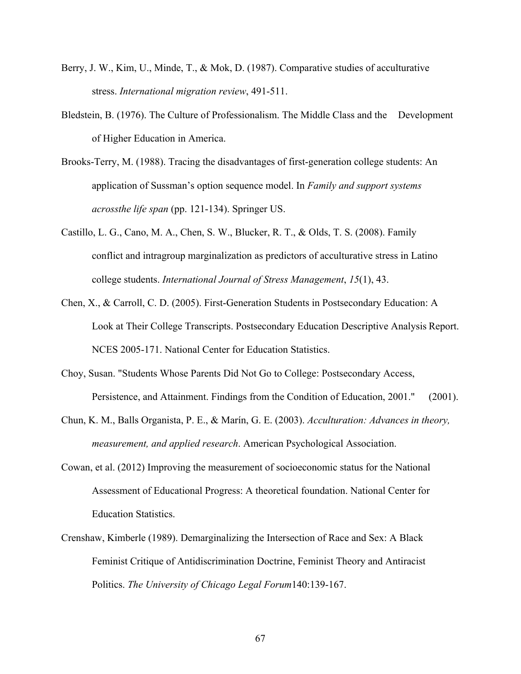- Berry, J. W., Kim, U., Minde, T., & Mok, D. (1987). Comparative studies of acculturative stress. *International migration review*, 491-511.
- Bledstein, B. (1976). The Culture of Professionalism. The Middle Class and the Development of Higher Education in America.
- Brooks-Terry, M. (1988). Tracing the disadvantages of first-generation college students: An application of Sussman's option sequence model. In *Family and support systems acrossthe life span* (pp. 121-134). Springer US.
- Castillo, L. G., Cano, M. A., Chen, S. W., Blucker, R. T., & Olds, T. S. (2008). Family conflict and intragroup marginalization as predictors of acculturative stress in Latino college students. *International Journal of Stress Management*, *15*(1), 43.
- Chen, X., & Carroll, C. D. (2005). First-Generation Students in Postsecondary Education: A Look at Their College Transcripts. Postsecondary Education Descriptive Analysis Report. NCES 2005-171. National Center for Education Statistics.
- Choy, Susan. "Students Whose Parents Did Not Go to College: Postsecondary Access, Persistence, and Attainment. Findings from the Condition of Education, 2001." (2001).
- Chun, K. M., Balls Organista, P. E., & Marín, G. E. (2003). *Acculturation: Advances in theory, measurement, and applied research*. American Psychological Association.
- Cowan, et al. (2012) Improving the measurement of socioeconomic status for the National Assessment of Educational Progress: A theoretical foundation. National Center for Education Statistics.
- Crenshaw, Kimberle (1989). Demarginalizing the Intersection of Race and Sex: A Black Feminist Critique of Antidiscrimination Doctrine, Feminist Theory and Antiracist Politics. *The University of Chicago Legal Forum*140:139-167.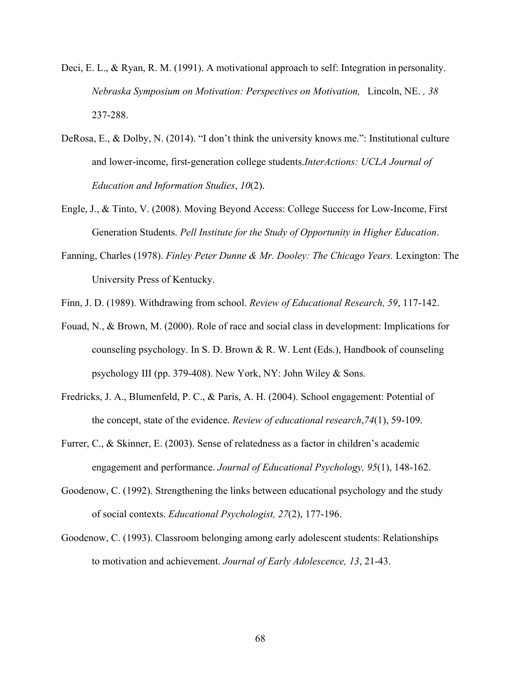- Deci, E. L., & Ryan, R. M. (1991). A motivational approach to self: Integration in personality. *Nebraska Symposium on Motivation: Perspectives on Motivation,* Lincoln, NE. *, 38* 237-288.
- DeRosa, E., & Dolby, N. (2014). "I don't think the university knows me.": Institutional culture and lower-income, first-generation college students.*InterActions: UCLA Journal of Education and Information Studies*, *10*(2).
- Engle, J., & Tinto, V. (2008). Moving Beyond Access: College Success for Low-Income, First Generation Students. *Pell Institute for the Study of Opportunity in Higher Education*.
- Fanning, Charles (1978). *Finley Peter Dunne & Mr. Dooley: The Chicago Years.* Lexington: The University Press of Kentucky.
- Finn, J. D. (1989). Withdrawing from school. *Review of Educational Research, 59*, 117-142.
- Fouad, N., & Brown, M. (2000). Role of race and social class in development: Implications for counseling psychology. In S. D. Brown & R. W. Lent (Eds.), Handbook of counseling psychology III (pp. 379-408). New York, NY: John Wiley & Sons.
- Fredricks, J. A., Blumenfeld, P. C., & Paris, A. H. (2004). School engagement: Potential of the concept, state of the evidence. *Review of educational research*,*74*(1), 59-109.
- Furrer, C., & Skinner, E. (2003). Sense of relatedness as a factor in children's academic engagement and performance. *Journal of Educational Psychology, 95*(1), 148-162.
- Goodenow, C. (1992). Strengthening the links between educational psychology and the study of social contexts. *Educational Psychologist, 27*(2), 177-196.
- Goodenow, C. (1993). Classroom belonging among early adolescent students: Relationships to motivation and achievement. *Journal of Early Adolescence, 13*, 21-43.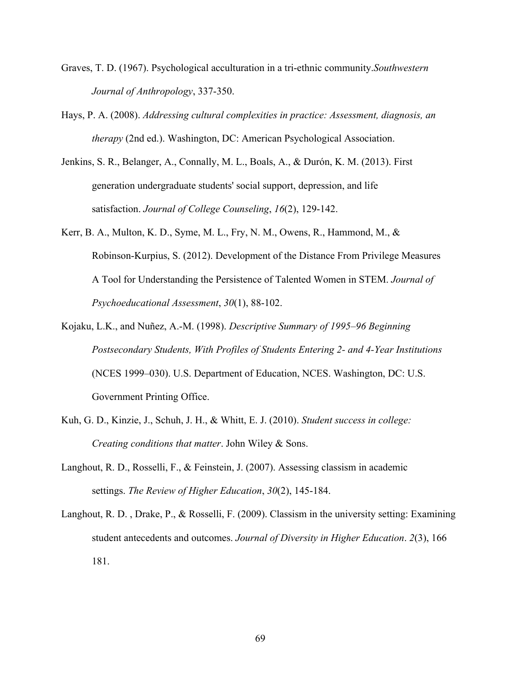- Graves, T. D. (1967). Psychological acculturation in a tri-ethnic community.*Southwestern Journal of Anthropology*, 337-350.
- Hays, P. A. (2008). *Addressing cultural complexities in practice: Assessment, diagnosis, an therapy* (2nd ed.). Washington, DC: American Psychological Association.
- Jenkins, S. R., Belanger, A., Connally, M. L., Boals, A., & Durón, K. M. (2013). First generation undergraduate students' social support, depression, and life satisfaction. *Journal of College Counseling*, *16*(2), 129-142.
- Kerr, B. A., Multon, K. D., Syme, M. L., Fry, N. M., Owens, R., Hammond, M., & Robinson-Kurpius, S. (2012). Development of the Distance From Privilege Measures A Tool for Understanding the Persistence of Talented Women in STEM. *Journal of Psychoeducational Assessment*, *30*(1), 88-102.
- Kojaku, L.K., and Nuñez, A.-M. (1998). *Descriptive Summary of 1995–96 Beginning Postsecondary Students, With Profiles of Students Entering 2- and 4-Year Institutions* (NCES 1999–030). U.S. Department of Education, NCES. Washington, DC: U.S. Government Printing Office.
- Kuh, G. D., Kinzie, J., Schuh, J. H., & Whitt, E. J. (2010). *Student success in college: Creating conditions that matter*. John Wiley & Sons.
- Langhout, R. D., Rosselli, F., & Feinstein, J. (2007). Assessing classism in academic settings. *The Review of Higher Education*, *30*(2), 145-184.
- Langhout, R. D. , Drake, P., & Rosselli, F. (2009). Classism in the university setting: Examining student antecedents and outcomes. *Journal of Diversity in Higher Education*. *2*(3), 166 181.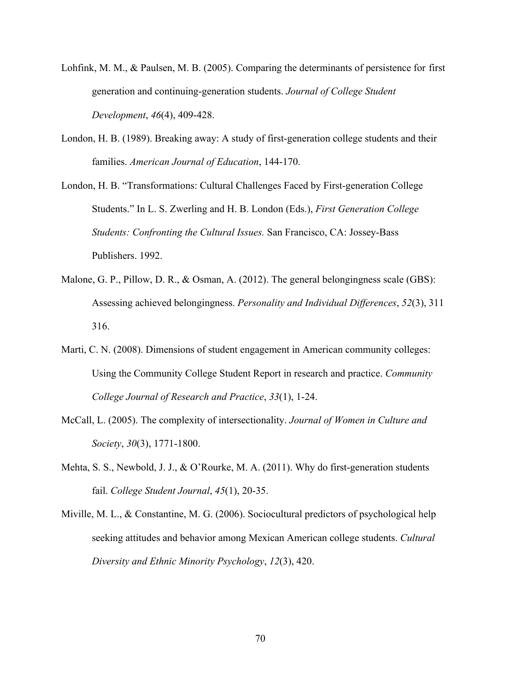- Lohfink, M. M., & Paulsen, M. B. (2005). Comparing the determinants of persistence for first generation and continuing-generation students. *Journal of College Student Development*, *46*(4), 409-428.
- London, H. B. (1989). Breaking away: A study of first-generation college students and their families. *American Journal of Education*, 144-170.
- London, H. B. "Transformations: Cultural Challenges Faced by First-generation College Students." In L. S. Zwerling and H. B. London (Eds.), *First Generation College Students: Confronting the Cultural Issues.* San Francisco, CA: Jossey-Bass Publishers. 1992.
- Malone, G. P., Pillow, D. R., & Osman, A. (2012). The general belongingness scale (GBS): Assessing achieved belongingness. *Personality and Individual Differences*, *52*(3), 311 316.
- Marti, C. N. (2008). Dimensions of student engagement in American community colleges: Using the Community College Student Report in research and practice. *Community College Journal of Research and Practice*, *33*(1), 1-24.
- McCall, L. (2005). The complexity of intersectionality. *Journal of Women in Culture and Society*, *30*(3), 1771-1800.
- Mehta, S. S., Newbold, J. J., & O'Rourke, M. A. (2011). Why do first-generation students fail. *College Student Journal*, *45*(1), 20-35.
- Miville, M. L., & Constantine, M. G. (2006). Sociocultural predictors of psychological help seeking attitudes and behavior among Mexican American college students. *Cultural Diversity and Ethnic Minority Psychology*, *12*(3), 420.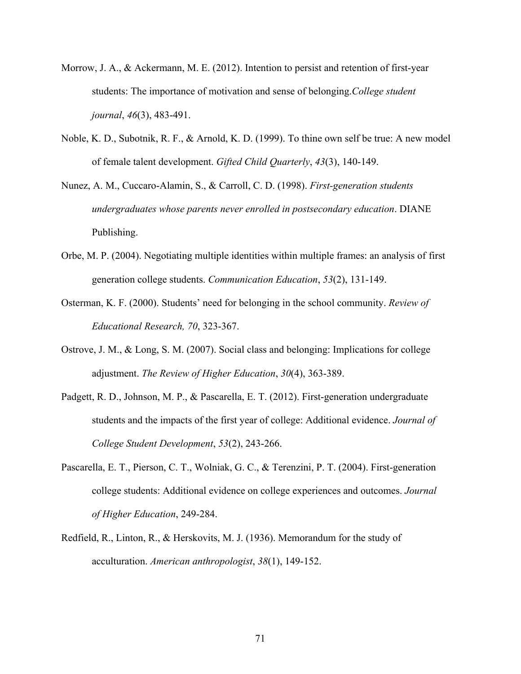- Morrow, J. A., & Ackermann, M. E. (2012). Intention to persist and retention of first-year students: The importance of motivation and sense of belonging.*College student journal*, *46*(3), 483-491.
- Noble, K. D., Subotnik, R. F., & Arnold, K. D. (1999). To thine own self be true: A new model of female talent development. *Gifted Child Quarterly*, *43*(3), 140-149.
- Nunez, A. M., Cuccaro-Alamin, S., & Carroll, C. D. (1998). *First-generation students undergraduates whose parents never enrolled in postsecondary education*. DIANE Publishing.
- Orbe, M. P. (2004). Negotiating multiple identities within multiple frames: an analysis of first generation college students. *Communication Education*, *53*(2), 131-149.
- Osterman, K. F. (2000). Students' need for belonging in the school community. *Review of Educational Research, 70*, 323-367.
- Ostrove, J. M., & Long, S. M. (2007). Social class and belonging: Implications for college adjustment. *The Review of Higher Education*, *30*(4), 363-389.
- Padgett, R. D., Johnson, M. P., & Pascarella, E. T. (2012). First-generation undergraduate students and the impacts of the first year of college: Additional evidence. *Journal of College Student Development*, *53*(2), 243-266.
- Pascarella, E. T., Pierson, C. T., Wolniak, G. C., & Terenzini, P. T. (2004). First-generation college students: Additional evidence on college experiences and outcomes. *Journal of Higher Education*, 249-284.
- Redfield, R., Linton, R., & Herskovits, M. J. (1936). Memorandum for the study of acculturation. *American anthropologist*, *38*(1), 149-152.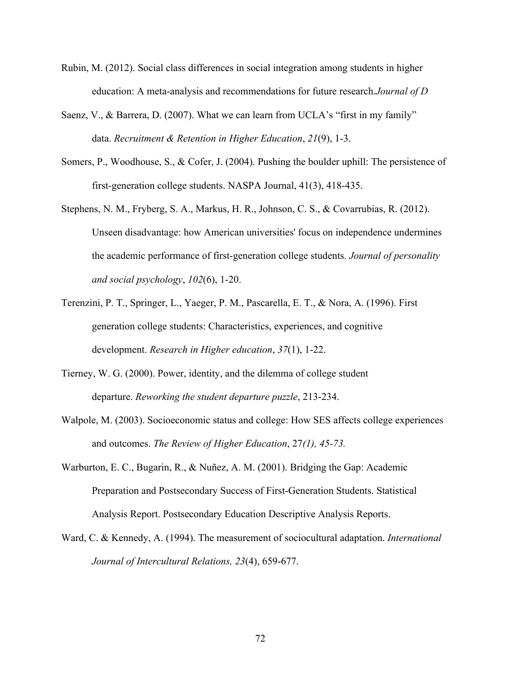- Rubin, M. (2012). Social class differences in social integration among students in higher education: A meta-analysis and recommendations for future research.*Journal of D*
- Saenz, V., & Barrera, D. (2007). What we can learn from UCLA's "first in my family" data. *Recruitment & Retention in Higher Education*, *21*(9), 1-3.
- Somers, P., Woodhouse, S., & Cofer, J. (2004). Pushing the boulder uphill: The persistence of first-generation college students. NASPA Journal, 41(3), 418-435.
- Stephens, N. M., Fryberg, S. A., Markus, H. R., Johnson, C. S., & Covarrubias, R. (2012). Unseen disadvantage: how American universities' focus on independence undermines the academic performance of first-generation college students. *Journal of personality and social psychology*, *102*(6), 1-20.
- Terenzini, P. T., Springer, L., Yaeger, P. M., Pascarella, E. T., & Nora, A. (1996). First generation college students: Characteristics, experiences, and cognitive development. *Research in Higher education*, *37*(1), 1-22.
- Tierney, W. G. (2000). Power, identity, and the dilemma of college student departure. *Reworking the student departure puzzle*, 213-234.
- Walpole, M. (2003). Socioeconomic status and college: How SES affects college experiences and outcomes. *The Review of Higher Education*, 27*(1), 45-73.*
- Warburton, E. C., Bugarin, R., & Nuñez, A. M. (2001). Bridging the Gap: Academic Preparation and Postsecondary Success of First-Generation Students. Statistical Analysis Report. Postsecondary Education Descriptive Analysis Reports.
- Ward, C. & Kennedy, A. (1994). The measurement of sociocultural adaptation. *International Journal of Intercultural Relations, 23*(4), 659-677.